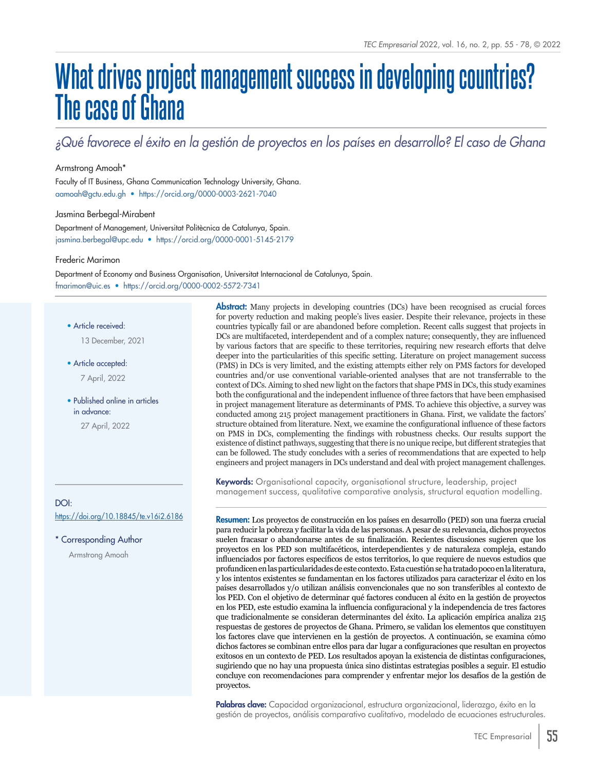# **What drives project management success in developing countries? The case of Ghana**

### *¿Qué favorece el éxito en la gestión de proyectos en los países en desarrollo? El caso de Ghana*

#### Armstrong Amoah\*

[aamoah@gctu.edu.gh](mailto:aamoah%40gctu.edu.gh?subject=) • <https://orcid.org/0000-0003-2621-7040> Faculty of IT Business, Ghana Communication Technology University, Ghana.

#### Jasmina Berbegal-Mirabent

[jasmina.berbegal@upc.edu](mailto:jasmina.berbegal%40upc.edu?subject=) • <https://orcid.org/0000-0001-5145-2179> Department of Management, Universitat Politècnica de Catalunya, Spain.

Frederic Marimon

[fmarimon@uic.es](mailto:fmarimon%40uic.es?subject=) • <https://orcid.org/0000-0002-5572-7341> Department of Economy and Business Organisation, Universitat Internacional de Catalunya, Spain.

• Article received:

13 December, 2021

• Article accepted:

7 April, 2022

• Published online in articles in advance:

27 April, 2022

#### DOI: <https://doi.org/10.18845/te.v16i2.6186>

\* Corresponding Author

Armstrong Amoah

**Abstract:** Many projects in developing countries (DCs) have been recognised as crucial forces for poverty reduction and making people's lives easier. Despite their relevance, projects in these countries typically fail or are abandoned before completion. Recent calls suggest that projects in DCs are multifaceted, interdependent and of a complex nature; consequently, they are influenced by various factors that are specific to these territories, requiring new research efforts that delve deeper into the particularities of this specific setting. Literature on project management success (PMS) in DCs is very limited, and the existing attempts either rely on PMS factors for developed countries and/or use conventional variable-oriented analyses that are not transferrable to the context of DCs. Aiming to shed new light on the factors that shape PMS in DCs, this study examines both the configurational and the independent influence of three factors that have been emphasised in project management literature as determinants of PMS. To achieve this objective, a survey was conducted among 215 project management practitioners in Ghana. First, we validate the factors' structure obtained from literature. Next, we examine the configurational influence of these factors on PMS in DCs, complementing the findings with robustness checks. Our results support the existence of distinct pathways, suggesting that there is no unique recipe, but different strategies that can be followed. The study concludes with a series of recommendations that are expected to help engineers and project managers in DCs understand and deal with project management challenges.

Keywords: Organisational capacity, organisational structure, leadership, project management success, qualitative comparative analysis, structural equation modelling.

Resumen: Los proyectos de construcción en los países en desarrollo (PED) son una fuerza crucial para reducir la pobreza y facilitar la vida de las personas. A pesar de su relevancia, dichos proyectos suelen fracasar o abandonarse antes de su finalización. Recientes discusiones sugieren que los proyectos en los PED son multifacéticos, interdependientes y de naturaleza compleja, estando influenciados por factores específicos de estos territorios, lo que requiere de nuevos estudios que profundicen en las particularidades de este contexto. Esta cuestión se ha tratado poco en la literatura, y los intentos existentes se fundamentan en los factores utilizados para caracterizar el éxito en los países desarrollados y/o utilizan análisis convencionales que no son transferibles al contexto de los PED. Con el objetivo de determinar qué factores conducen al éxito en la gestión de proyectos en los PED, este estudio examina la influencia configuracional y la independencia de tres factores que tradicionalmente se consideran determinantes del éxito. La aplicación empírica analiza 215 respuestas de gestores de proyectos de Ghana. Primero, se validan los elementos que constituyen los factores clave que intervienen en la gestión de proyectos. A continuación, se examina cómo dichos factores se combinan entre ellos para dar lugar a configuraciones que resultan en proyectos exitosos en un contexto de PED. Los resultados apoyan la existencia de distintas configuraciones, sugiriendo que no hay una propuesta única sino distintas estrategias posibles a seguir. El estudio concluye con recomendaciones para comprender y enfrentar mejor los desafíos de la gestión de proyectos.

Palabras clave: Capacidad organizacional, estructura organizacional, liderazgo, éxito en la gestión de proyectos, análisis comparativo cualitativo, modelado de ecuaciones estructurales.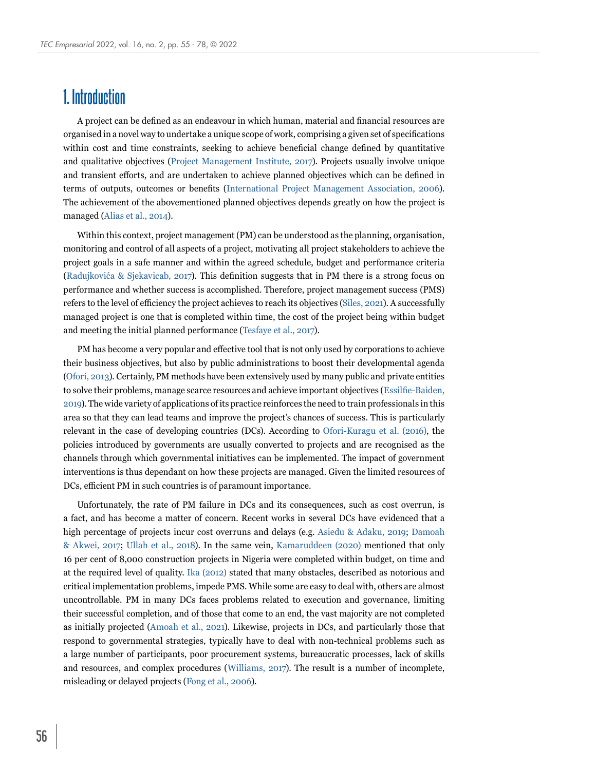## **1. Introduction**

A project can be defined as an endeavour in which human, material and financial resources are organised in a novel way to undertake a unique scope of work, comprising a given set of specifications within cost and time constraints, seeking to achieve beneficial change defined by quantitative and qualitative objectives ([Project Management Institute, 2017\)](#page-22-0). Projects usually involve unique and transient efforts, and are undertaken to achieve planned objectives which can be defined in terms of outputs, outcomes or benefits ([International Project Management Association, 2006](#page-21-0)). The achievement of the abovementioned planned objectives depends greatly on how the project is managed [\(Alias et al., 2014](#page-19-0)).

Within this context, project management (PM) can be understood as the planning, organisation, monitoring and control of all aspects of a project, motivating all project stakeholders to achieve the project goals in a safe manner and within the agreed schedule, budget and performance criteria (Radujkovića & Sjekavicab, 2017). This definition suggests that in PM there is a strong focus on performance and whether success is accomplished. Therefore, project management success (PMS) refers to the level of efficiency the project achieves to reach its objectives ([Siles, 2021\)](#page-22-1). A successfully managed project is one that is completed within time, the cost of the project being within budget and meeting the initial planned performance ([Tesfaye et al., 2017\)](#page-22-2).

PM has become a very popular and effective tool that is not only used by corporations to achieve their business objectives, but also by public administrations to boost their developmental agenda ([Ofori, 2013](#page-22-3)). Certainly, PM methods have been extensively used by many public and private entities to solve their problems, manage scarce resources and achieve important objectives ([Essilfie-Baiden,](#page-20-0)  [2019](#page-20-0)). The wide variety of applications of its practice reinforces the need to train professionals in this area so that they can lead teams and improve the project's chances of success. This is particularly relevant in the case of developing countries (DCs). According to [Ofori-Kuragu et al. \(2016\)](#page-22-4), the policies introduced by governments are usually converted to projects and are recognised as the channels through which governmental initiatives can be implemented. The impact of government interventions is thus dependant on how these projects are managed. Given the limited resources of DCs, efficient PM in such countries is of paramount importance.

Unfortunately, the rate of PM failure in DCs and its consequences, such as cost overrun, is a fact, and has become a matter of concern. Recent works in several DCs have evidenced that a high percentage of projects incur cost overruns and delays (e.g. [Asiedu & Adaku, 2019](#page-19-1); Damoah [& Akwei, 2017](#page-20-1); [Ullah et al., 2018](#page-23-0)). In the same vein, [Kamaruddeen \(2020\)](#page-21-1) mentioned that only 16 per cent of 8,000 construction projects in Nigeria were completed within budget, on time and at the required level of quality. [Ika \(2012\)](#page-20-2) stated that many obstacles, described as notorious and critical implementation problems, impede PMS. While some are easy to deal with, others are almost uncontrollable. PM in many DCs faces problems related to execution and governance, limiting their successful completion, and of those that come to an end, the vast majority are not completed as initially projected [\(Amoah et al., 2021](#page-19-2)). Likewise, projects in DCs, and particularly those that respond to governmental strategies, typically have to deal with non-technical problems such as a large number of participants, poor procurement systems, bureaucratic processes, lack of skills and resources, and complex procedures ([Williams, 2017\)](#page-23-1). The result is a number of incomplete, misleading or delayed projects ([Fong et al., 2006](#page-20-3)).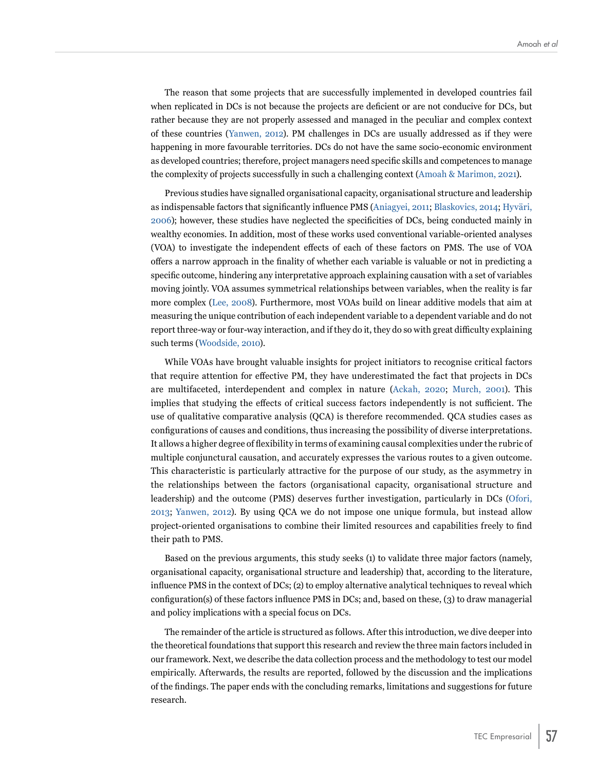The reason that some projects that are successfully implemented in developed countries fail when replicated in DCs is not because the projects are deficient or are not conducive for DCs, but rather because they are not properly assessed and managed in the peculiar and complex context of these countries ([Yanwen, 2012\)](#page-23-2). PM challenges in DCs are usually addressed as if they were happening in more favourable territories. DCs do not have the same socio-economic environment as developed countries; therefore, project managers need specific skills and competences to manage the complexity of projects successfully in such a challenging context ([Amoah & Marimon, 2021](#page-19-2)).

Previous studies have signalled organisational capacity, organisational structure and leadership as indispensable factors that significantly influence PMS ([Aniagyei, 2011](#page-19-3); [Blaskovics, 2014](#page-19-4); Hyväri, 2006); however, these studies have neglected the specificities of DCs, being conducted mainly in wealthy economies. In addition, most of these works used conventional variable-oriented analyses (VOA) to investigate the independent effects of each of these factors on PMS. The use of VOA offers a narrow approach in the finality of whether each variable is valuable or not in predicting a specific outcome, hindering any interpretative approach explaining causation with a set of variables moving jointly. VOA assumes symmetrical relationships between variables, when the reality is far more complex ([Lee, 2008\)](#page-21-2). Furthermore, most VOAs build on linear additive models that aim at measuring the unique contribution of each independent variable to a dependent variable and do not report three-way or four-way interaction, and if they do it, they do so with great difficulty explaining such terms [\(Woodside, 2010](#page-23-3)).

While VOAs have brought valuable insights for project initiators to recognise critical factors that require attention for effective PM, they have underestimated the fact that projects in DCs are multifaceted, interdependent and complex in nature ([Ackah, 2020;](#page-19-5) [Murch, 2001\)](#page-21-3). This implies that studying the effects of critical success factors independently is not sufficient. The use of qualitative comparative analysis (QCA) is therefore recommended. QCA studies cases as configurations of causes and conditions, thus increasing the possibility of diverse interpretations. It allows a higher degree of flexibility in terms of examining causal complexities under the rubric of multiple conjunctural causation, and accurately expresses the various routes to a given outcome. This characteristic is particularly attractive for the purpose of our study, as the asymmetry in the relationships between the factors (organisational capacity, organisational structure and leadership) and the outcome (PMS) deserves further investigation, particularly in DCs ([Ofori,](#page-22-3)  [2013](#page-22-3); [Yanwen, 2012](#page-23-2)). By using QCA we do not impose one unique formula, but instead allow project-oriented organisations to combine their limited resources and capabilities freely to find their path to PMS.

Based on the previous arguments, this study seeks (1) to validate three major factors (namely, organisational capacity, organisational structure and leadership) that, according to the literature, influence PMS in the context of DCs; (2) to employ alternative analytical techniques to reveal which configuration(s) of these factors influence PMS in DCs; and, based on these, (3) to draw managerial and policy implications with a special focus on DCs.

The remainder of the article is structured as follows. After this introduction, we dive deeper into the theoretical foundations that support this research and review the three main factors included in our framework. Next, we describe the data collection process and the methodology to test our model empirically. Afterwards, the results are reported, followed by the discussion and the implications of the findings. The paper ends with the concluding remarks, limitations and suggestions for future research.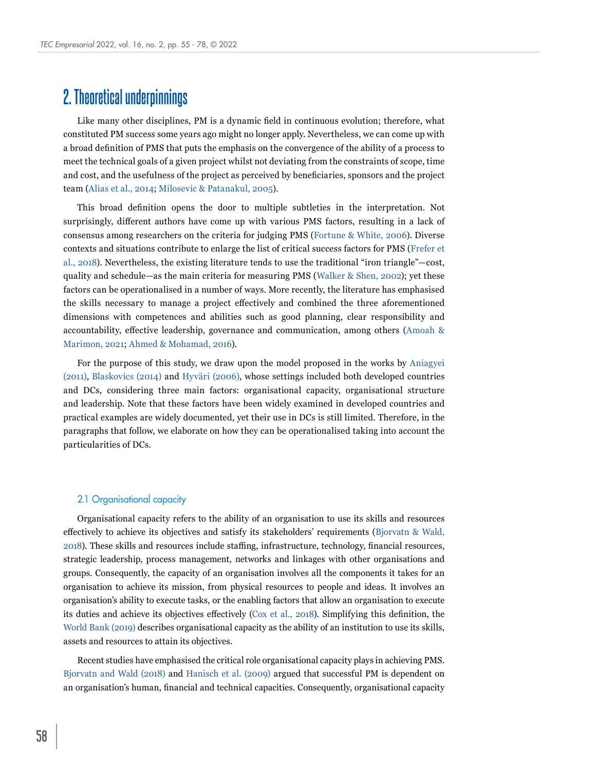# **2. Theoretical underpinnings**

Like many other disciplines, PM is a dynamic field in continuous evolution; therefore, what constituted PM success some years ago might no longer apply. Nevertheless, we can come up with a broad definition of PMS that puts the emphasis on the convergence of the ability of a process to meet the technical goals of a given project whilst not deviating from the constraints of scope, time and cost, and the usefulness of the project as perceived by beneficiaries, sponsors and the project team [\(Alias et al., 2014](#page-19-0); [Milosevic & Patanakul, 2005](#page-21-4)).

This broad definition opens the door to multiple subtleties in the interpretation. Not surprisingly, different authors have come up with various PMS factors, resulting in a lack of consensus among researchers on the criteria for judging PMS ([Fortune & White, 2006](#page-20-4)). Diverse contexts and situations contribute to enlarge the list of critical success factors for PMS ([Frefer et](#page-20-5)  [al., 2018](#page-20-5)). Nevertheless, the existing literature tends to use the traditional "iron triangle"—cost, quality and schedule—as the main criteria for measuring PMS ([Walker & Shen, 2002](#page-23-4)); yet these factors can be operationalised in a number of ways. More recently, the literature has emphasised the skills necessary to manage a project effectively and combined the three aforementioned dimensions with competences and abilities such as good planning, clear responsibility and accountability, effective leadership, governance and communication, among others ([Amoah &](#page-19-2)  [Marimon, 2021](#page-19-2); [Ahmed & Mohamad, 2016](#page-19-6)).

For the purpose of this study, we draw upon the model proposed in the works by [Aniagyei](#page-19-3)  [\(2011\)](#page-19-3), [Blaskovics \(2014\)](#page-19-4) and Hyväri (2006), whose settings included both developed countries and DCs, considering three main factors: organisational capacity, organisational structure and leadership. Note that these factors have been widely examined in developed countries and practical examples are widely documented, yet their use in DCs is still limited. Therefore, in the paragraphs that follow, we elaborate on how they can be operationalised taking into account the particularities of DCs.

#### 2.1 Organisational capacity

Organisational capacity refers to the ability of an organisation to use its skills and resources effectively to achieve its objectives and satisfy its stakeholders' requirements [\(Bjorvatn & Wald,](#page-19-7)  [2018](#page-19-7)). These skills and resources include staffing, infrastructure, technology, financial resources, strategic leadership, process management, networks and linkages with other organisations and groups. Consequently, the capacity of an organisation involves all the components it takes for an organisation to achieve its mission, from physical resources to people and ideas. It involves an organisation's ability to execute tasks, or the enabling factors that allow an organisation to execute its duties and achieve its objectives effectively ([Cox et al., 2018](#page-20-6)). Simplifying this definition, the [World Bank \(2019\)](#page-23-5) describes organisational capacity as the ability of an institution to use its skills, assets and resources to attain its objectives.

Recent studies have emphasised the critical role organisational capacity plays in achieving PMS. [Bjorvatn and Wald \(2018\)](#page-19-7) and [Hanisch et al. \(2009\)](#page-20-7) argued that successful PM is dependent on an organisation's human, financial and technical capacities. Consequently, organisational capacity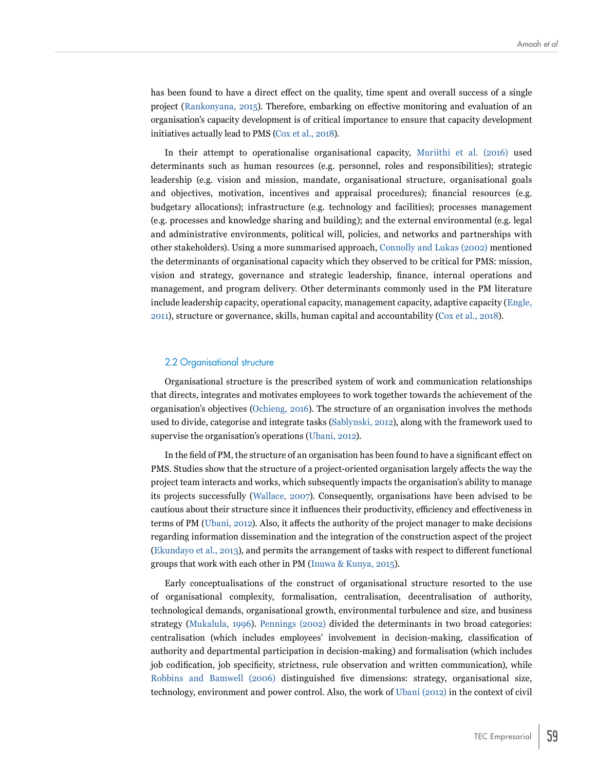has been found to have a direct effect on the quality, time spent and overall success of a single project ([Rankonyana, 2015](#page-22-5)). Therefore, embarking on effective monitoring and evaluation of an organisation's capacity development is of critical importance to ensure that capacity development initiatives actually lead to PMS [\(Cox et al., 2018](#page-20-6)).

In their attempt to operationalise organisational capacity, [Muriithi et al. \(2016\)](#page-21-5) used determinants such as human resources (e.g. personnel, roles and responsibilities); strategic leadership (e.g. vision and mission, mandate, organisational structure, organisational goals and objectives, motivation, incentives and appraisal procedures); financial resources (e.g. budgetary allocations); infrastructure (e.g. technology and facilities); processes management (e.g. processes and knowledge sharing and building); and the external environmental (e.g. legal and administrative environments, political will, policies, and networks and partnerships with other stakeholders). Using a more summarised approach, [Connolly and Lukas \(2002\)](#page-20-8) mentioned the determinants of organisational capacity which they observed to be critical for PMS: mission, vision and strategy, governance and strategic leadership, finance, internal operations and management, and program delivery. Other determinants commonly used in the PM literature include leadership capacity, operational capacity, management capacity, adaptive capacity ([Engle,](#page-20-9)  [2011\)](#page-20-9), structure or governance, skills, human capital and accountability ([Cox et al., 2018\)](#page-20-6).

#### 2.2 Organisational structure

Organisational structure is the prescribed system of work and communication relationships that directs, integrates and motivates employees to work together towards the achievement of the organisation's objectives ([Ochieng, 2016](#page-21-6)). The structure of an organisation involves the methods used to divide, categorise and integrate tasks [\(Sablynski, 2012](#page-22-6)), along with the framework used to supervise the organisation's operations ([Ubani, 2012\)](#page-23-6).

In the field of PM, the structure of an organisation has been found to have a significant effect on PMS. Studies show that the structure of a project-oriented organisation largely affects the way the project team interacts and works, which subsequently impacts the organisation's ability to manage its projects successfully ([Wallace, 2007](#page-23-7)). Consequently, organisations have been advised to be cautious about their structure since it influences their productivity, efficiency and effectiveness in terms of PM [\(Ubani, 2012](#page-23-6)). Also, it affects the authority of the project manager to make decisions regarding information dissemination and the integration of the construction aspect of the project ([Ekundayo et al., 2013\)](#page-20-10), and permits the arrangement of tasks with respect to different functional groups that work with each other in PM ([Inuwa & Kunya, 2015](#page-21-7)).

Early conceptualisations of the construct of organisational structure resorted to the use of organisational complexity, formalisation, centralisation, decentralisation of authority, technological demands, organisational growth, environmental turbulence and size, and business strategy ([Mukalula, 1996\)](#page-21-8). [Pennings \(2002\)](#page-22-7) divided the determinants in two broad categories: centralisation (which includes employees' involvement in decision-making, classification of authority and departmental participation in decision-making) and formalisation (which includes job codification, job specificity, strictness, rule observation and written communication), while [Robbins and Bamwell \(2006\)](#page-22-8) distinguished five dimensions: strategy, organisational size, technology, environment and power control. Also, the work of [Ubani \(2012\)](#page-23-6) in the context of civil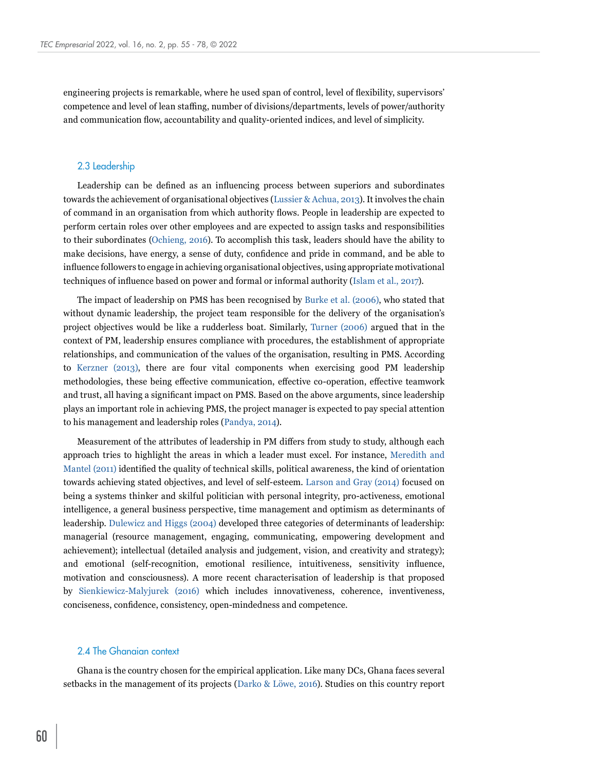engineering projects is remarkable, where he used span of control, level of flexibility, supervisors' competence and level of lean staffing, number of divisions/departments, levels of power/authority and communication flow, accountability and quality-oriented indices, and level of simplicity.

#### 2.3 Leadership

Leadership can be defined as an influencing process between superiors and subordinates towards the achievement of organisational objectives [\(Lussier & Achua, 2013](#page-21-9)). It involves the chain of command in an organisation from which authority flows. People in leadership are expected to perform certain roles over other employees and are expected to assign tasks and responsibilities to their subordinates ([Ochieng, 2016](#page-21-6)). To accomplish this task, leaders should have the ability to make decisions, have energy, a sense of duty, confidence and pride in command, and be able to influence followers to engage in achieving organisational objectives, using appropriate motivational techniques of influence based on power and formal or informal authority ([Islam et al., 2017\)](#page-21-10).

The impact of leadership on PMS has been recognised by [Burke et al. \(2006\)](#page-19-8), who stated that without dynamic leadership, the project team responsible for the delivery of the organisation's project objectives would be like a rudderless boat. Similarly, [Turner \(2006\)](#page-22-9) argued that in the context of PM, leadership ensures compliance with procedures, the establishment of appropriate relationships, and communication of the values of the organisation, resulting in PMS. According to [Kerzner \(2013\),](#page-21-11) there are four vital components when exercising good PM leadership methodologies, these being effective communication, effective co-operation, effective teamwork and trust, all having a significant impact on PMS. Based on the above arguments, since leadership plays an important role in achieving PMS, the project manager is expected to pay special attention to his management and leadership roles [\(Pandya, 2014\)](#page-22-10).

Measurement of the attributes of leadership in PM differs from study to study, although each approach tries to highlight the areas in which a leader must excel. For instance, [Meredith and](#page-21-12)  [Mantel \(2011\)](#page-21-12) identified the quality of technical skills, political awareness, the kind of orientation towards achieving stated objectives, and level of self-esteem. [Larson and Gray \(2014\)](#page-21-13) focused on being a systems thinker and skilful politician with personal integrity, pro-activeness, emotional intelligence, a general business perspective, time management and optimism as determinants of leadership. [Dulewicz and Higgs \(2004\)](#page-20-11) developed three categories of determinants of leadership: managerial (resource management, engaging, communicating, empowering development and achievement); intellectual (detailed analysis and judgement, vision, and creativity and strategy); and emotional (self-recognition, emotional resilience, intuitiveness, sensitivity influence, motivation and consciousness). A more recent characterisation of leadership is that proposed by [Sienkiewicz-Malyjurek \(2016\)](#page-22-11) which includes innovativeness, coherence, inventiveness, conciseness, confidence, consistency, open-mindedness and competence.

#### 2.4 The Ghanaian context

Ghana is the country chosen for the empirical application. Like many DCs, Ghana faces several setbacks in the management of its projects (Darko & Löwe, 2016). Studies on this country report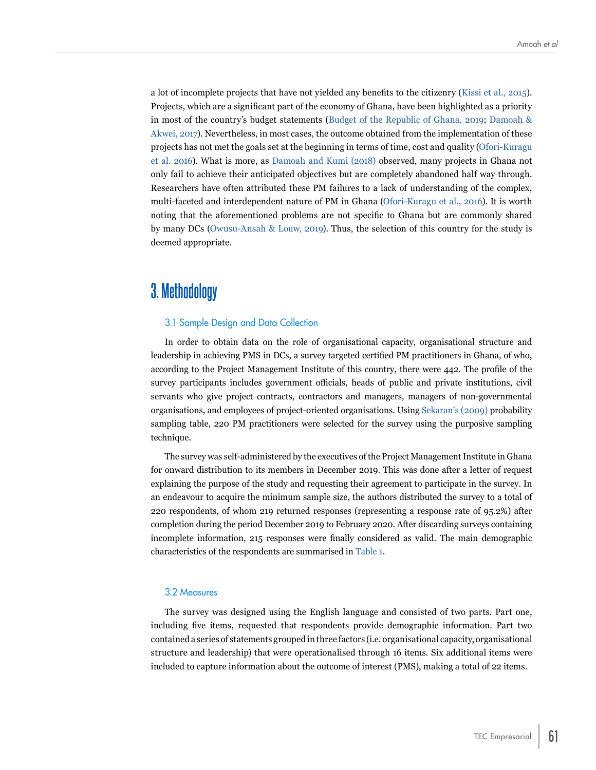a lot of incomplete projects that have not yielded any benefits to the citizenry ([Kissi et al., 2015](#page-21-14)). Projects, which are a significant part of the economy of Ghana, have been highlighted as a priority in most of the country's budget statements ([Budget of the Republic of Ghana, 2019](#page-19-9); [Damoah &](#page-20-1)  [Akwei, 2017](#page-20-1)). Nevertheless, in most cases, the outcome obtained from the implementation of these projects has not met the goals set at the beginning in terms of time, cost and quality ([Ofori-Kuragu](#page-22-4)  [et al. 2016\)](#page-22-4). What is more, as [Damoah and Kumi \(2018\)](#page-20-12) observed, many projects in Ghana not only fail to achieve their anticipated objectives but are completely abandoned half way through. Researchers have often attributed these PM failures to a lack of understanding of the complex, multi-faceted and interdependent nature of PM in Ghana ([Ofori-Kuragu et al., 2016](#page-22-4)). It is worth noting that the aforementioned problems are not specific to Ghana but are commonly shared by many DCs ([Owusu-Ansah & Louw, 2019](#page-22-12)). Thus, the selection of this country for the study is deemed appropriate.

## **3. Methodology**

#### 3.1 Sample Design and Data Collection

In order to obtain data on the role of organisational capacity, organisational structure and leadership in achieving PMS in DCs, a survey targeted certified PM practitioners in Ghana, of who, according to the Project Management Institute of this country, there were 442. The profile of the survey participants includes government officials, heads of public and private institutions, civil servants who give project contracts, contractors and managers, managers of non-governmental organisations, and employees of project-oriented organisations. Using [Sekaran's \(2009\)](#page-22-13) probability sampling table, 220 PM practitioners were selected for the survey using the purposive sampling technique.

The survey was self-administered by the executives of the Project Management Institute in Ghana for onward distribution to its members in December 2019. This was done after a letter of request explaining the purpose of the study and requesting their agreement to participate in the survey. In an endeavour to acquire the minimum sample size, the authors distributed the survey to a total of 220 respondents, of whom 219 returned responses (representing a response rate of 95.2%) after completion during the period December 2019 to February 2020. After discarding surveys containing incomplete information, 215 responses were finally considered as valid. The main demographic characteristics of the respondents are summarised in [Table 1](#page-7-0).

#### 3.2 Measures

The survey was designed using the English language and consisted of two parts. Part one, including five items, requested that respondents provide demographic information. Part two contained a series of statements grouped in three factors (i.e. organisational capacity, organisational structure and leadership) that were operationalised through 16 items. Six additional items were included to capture information about the outcome of interest (PMS), making a total of 22 items.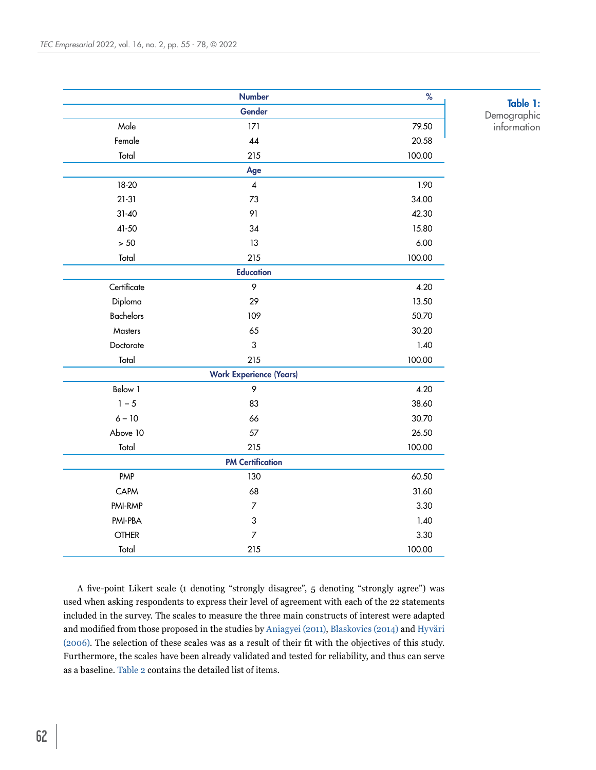|                  | <b>Number</b>                  | %      |    |
|------------------|--------------------------------|--------|----|
|                  | Gender                         |        | De |
| Male             | 171                            | 79.50  | i  |
| Female           | 44                             | 20.58  |    |
| Total            | 215                            | 100.00 |    |
|                  | Age                            |        |    |
| 18-20            | $\overline{\mathbf{4}}$        | 1.90   |    |
| $21-31$          | 73                             | 34.00  |    |
| $31 - 40$        | 91                             | 42.30  |    |
| $41 - 50$        | 34                             | 15.80  |    |
| $> 50$           | 13                             | 6.00   |    |
| Total            | 215                            | 100.00 |    |
|                  | <b>Education</b>               |        |    |
| Certificate      | 9                              | 4.20   |    |
| Diploma          | 29                             | 13.50  |    |
| <b>Bachelors</b> | 109                            | 50.70  |    |
| Masters          | 65                             | 30.20  |    |
| Doctorate        | $\mathfrak{S}$                 | 1.40   |    |
| Total            | 215                            | 100.00 |    |
|                  | <b>Work Experience (Years)</b> |        |    |
| Below 1          | 9                              | 4.20   |    |
| $1 - 5$          | 83                             | 38.60  |    |
| $6 - 10$         | 66                             | 30.70  |    |
| Above 10         | 57                             | 26.50  |    |
| Total            | 215                            | 100.00 |    |
|                  | <b>PM Certification</b>        |        |    |
| PMP              | 130                            | 60.50  |    |
| CAPM             | 68                             | 31.60  |    |
| PMI-RMP          | $\boldsymbol{7}$               | 3.30   |    |
| PMI-PBA          | $\sqrt{3}$                     | 1.40   |    |
| <b>OTHER</b>     | $\overline{7}$                 | 3.30   |    |
| Total            | 215                            | 100.00 |    |

<span id="page-7-0"></span>Table 1: mographic<del>.</del> information

A five-point Likert scale (1 denoting "strongly disagree", 5 denoting "strongly agree") was used when asking respondents to express their level of agreement with each of the 22 statements included in the survey. The scales to measure the three main constructs of interest were adapted and modified from those proposed in the studies by [Aniagyei \(2011\),](#page-19-3) [Blaskovics \(2014\)](#page-19-4) and Hyväri (2006). The selection of these scales was as a result of their fit with the objectives of this study. Furthermore, the scales have been already validated and tested for reliability, and thus can serve as a baseline. [Table 2](#page-8-0) contains the detailed list of items.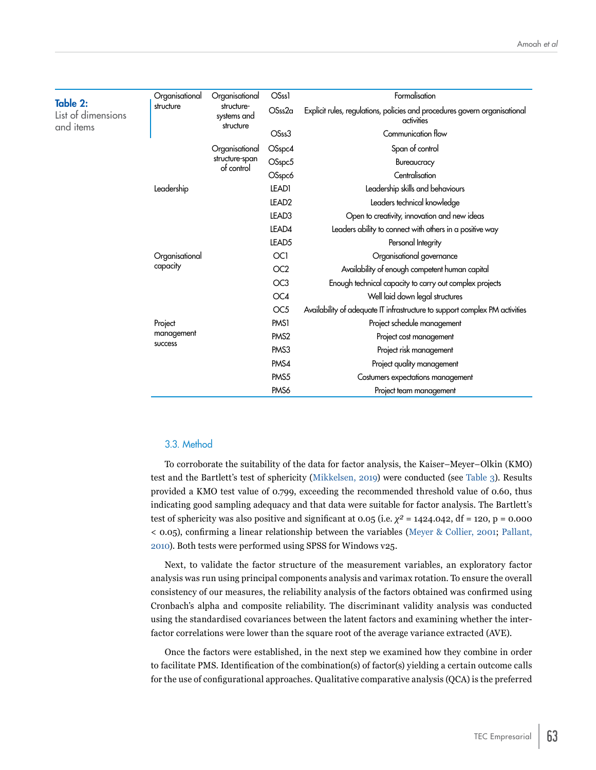<span id="page-8-0"></span>

| Table 2:           | Organisational | Organisational                         | <b>OSss1</b>      | Formalisation                                                                            |
|--------------------|----------------|----------------------------------------|-------------------|------------------------------------------------------------------------------------------|
| List of dimensions | structure      | structure-<br>systems and<br>structure | OSss2a            | Explicit rules, regulations, policies and procedures govern organisational<br>activities |
| and items          |                |                                        | OSss3             | Communication flow                                                                       |
|                    |                | Organisational                         | OSspc4            | Span of control                                                                          |
|                    |                | structure-span                         | OSspc5            | Bureaucracy                                                                              |
|                    |                | of control                             | OSspc6            | Centralisation                                                                           |
|                    | Leadership     |                                        | LEAD1             | Leadership skills and behaviours                                                         |
|                    |                |                                        | LEAD <sub>2</sub> | Leaders technical knowledge                                                              |
|                    |                |                                        | LEAD <sub>3</sub> | Open to creativity, innovation and new ideas                                             |
|                    |                |                                        | LEAD4             | Leaders ability to connect with others in a positive way                                 |
|                    |                |                                        | LEAD <sub>5</sub> | Personal Integrity                                                                       |
|                    | Organisational |                                        | OC <sub>1</sub>   | Organisational governance                                                                |
|                    | capacity       |                                        | OC <sub>2</sub>   | Availability of enough competent human capital                                           |
|                    |                |                                        | OC <sub>3</sub>   | Enough technical capacity to carry out complex projects                                  |
|                    |                |                                        | OC4               | Well laid down legal structures                                                          |
|                    |                |                                        | OC <sub>5</sub>   | Availability of adequate IT infrastructure to support complex PM activities              |
|                    | Project        |                                        | PMS <sub>1</sub>  | Project schedule management                                                              |
|                    | management     |                                        | PM <sub>S2</sub>  | Project cost management                                                                  |
|                    | success        |                                        | PMS3              | Project risk management                                                                  |
|                    |                |                                        | PMS4              | Project quality management                                                               |
|                    |                |                                        | PMS5              | Costumers expectations management                                                        |
|                    |                |                                        | PM <sub>S6</sub>  | Project team management                                                                  |

#### 3.3. Method

To corroborate the suitability of the data for factor analysis, the Kaiser–Meyer–Olkin (KMO) test and the Bartlett's test of sphericity ([Mikkelsen, 2019](#page-21-15)) were conducted (see [Table 3](#page-9-0)). Results provided a KMO test value of 0.799, exceeding the recommended threshold value of 0.60, thus indicating good sampling adequacy and that data were suitable for factor analysis. The Bartlett's test of sphericity was also positive and significant at 0.05 (i.e.  $\chi^2 = 1424.042$ , df = 120, p = 0.000 < 0.05), confirming a linear relationship between the variables [\(Meyer & Collier, 2001](#page-21-16); [Pallant,](#page-22-14)  [2010](#page-22-14)). Both tests were performed using SPSS for Windows v25.

Next, to validate the factor structure of the measurement variables, an exploratory factor analysis was run using principal components analysis and varimax rotation. To ensure the overall consistency of our measures, the reliability analysis of the factors obtained was confirmed using Cronbach's alpha and composite reliability. The discriminant validity analysis was conducted using the standardised covariances between the latent factors and examining whether the interfactor correlations were lower than the square root of the average variance extracted (AVE).

Once the factors were established, in the next step we examined how they combine in order to facilitate PMS. Identification of the combination(s) of factor(s) yielding a certain outcome calls for the use of configurational approaches. Qualitative comparative analysis (QCA) is the preferred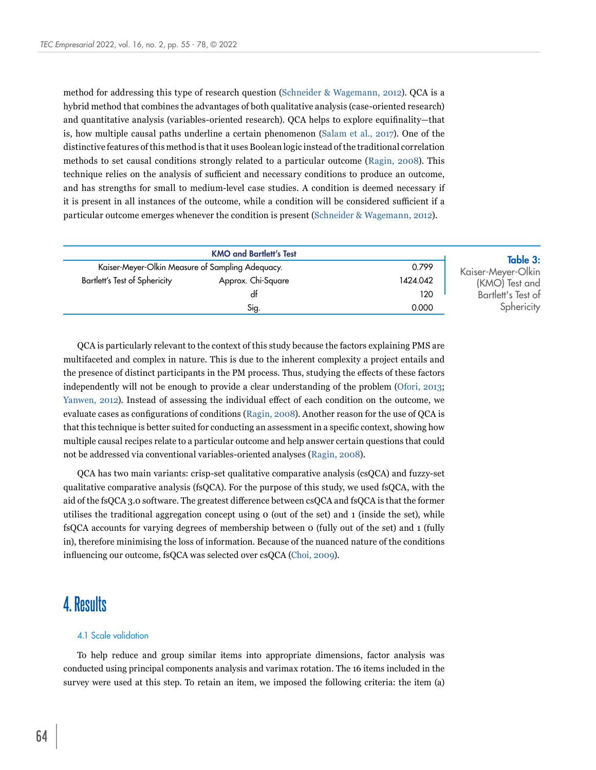method for addressing this type of research question ([Schneider & Wagemann, 2012](#page-22-15)). QCA is a hybrid method that combines the advantages of both qualitative analysis (case-oriented research) and quantitative analysis (variables-oriented research). QCA helps to explore equifinality—that is, how multiple causal paths underline a certain phenomenon ([Salam et al., 2017](#page-22-16)). One of the distinctive features of this method is that it uses Boolean logic instead of the traditional correlation methods to set causal conditions strongly related to a particular outcome ([Ragin, 2008](#page-22-17)). This technique relies on the analysis of sufficient and necessary conditions to produce an outcome, and has strengths for small to medium-level case studies. A condition is deemed necessary if it is present in all instances of the outcome, while a condition will be considered sufficient if a particular outcome emerges whenever the condition is present [\(Schneider & Wagemann, 2012](#page-22-15)).

<span id="page-9-0"></span>

|                                                  | <b>KMO and Bartlett's Test</b> |          | Table 3:           |
|--------------------------------------------------|--------------------------------|----------|--------------------|
| Kaiser-Meyer-Olkin Measure of Sampling Adequacy. |                                | 0.799    | Kaiser-Meyer-Olkin |
| Bartlett's Test of Sphericity                    | Approx. Chi-Square             | 1424.042 | (KMO) Test and     |
|                                                  | df                             | 120      | Bartlett's Test of |
|                                                  | Sig.                           | 0.000    | Sphericity         |

QCA is particularly relevant to the context of this study because the factors explaining PMS are multifaceted and complex in nature. This is due to the inherent complexity a project entails and the presence of distinct participants in the PM process. Thus, studying the effects of these factors independently will not be enough to provide a clear understanding of the problem [\(Ofori, 2013](#page-22-3); [Yanwen, 2012](#page-23-2)). Instead of assessing the individual effect of each condition on the outcome, we evaluate cases as configurations of conditions ([Ragin, 2008](#page-22-17)). Another reason for the use of QCA is that this technique is better suited for conducting an assessment in a specific context, showing how multiple causal recipes relate to a particular outcome and help answer certain questions that could not be addressed via conventional variables-oriented analyses ([Ragin, 2008\)](#page-22-17).

QCA has two main variants: crisp-set qualitative comparative analysis (csQCA) and fuzzy-set qualitative comparative analysis (fsQCA). For the purpose of this study, we used fsQCA, with the aid of the fsQCA 3.0 software. The greatest difference between csQCA and fsQCA is that the former utilises the traditional aggregation concept using 0 (out of the set) and 1 (inside the set), while fsQCA accounts for varying degrees of membership between 0 (fully out of the set) and 1 (fully in), therefore minimising the loss of information. Because of the nuanced nature of the conditions influencing our outcome, fsQCA was selected over csQCA ([Choi, 2009](#page-20-13)).

### **4. Results**

#### 4.1 Scale validation

To help reduce and group similar items into appropriate dimensions, factor analysis was conducted using principal components analysis and varimax rotation. The 16 items included in the survey were used at this step. To retain an item, we imposed the following criteria: the item (a)

64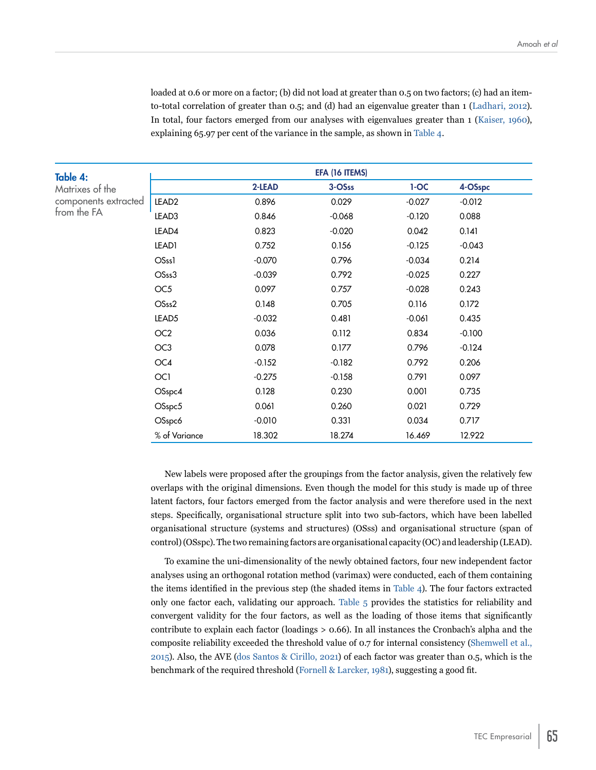loaded at 0.6 or more on a factor; (b) did not load at greater than 0.5 on two factors; (c) had an itemto-total correlation of greater than 0.5; and (d) had an eigenvalue greater than 1 ([Ladhari, 2012](#page-21-17)). In total, four factors emerged from our analyses with eigenvalues greater than 1 [\(Kaiser, 1960](#page-21-18)), explaining 65.97 per cent of the variance in the sample, as shown in [Table 4](#page-10-0).

<span id="page-10-0"></span>

| Table 4:             |                   |          | EFA (16 ITEMS) |          |          |
|----------------------|-------------------|----------|----------------|----------|----------|
| Matrixes of the      |                   | 2-LEAD   | 3-OSss         | $1-OC$   | 4-OSspc  |
| components extracted | LEAD <sub>2</sub> | 0.896    | 0.029          | $-0.027$ | $-0.012$ |
| from the FA          | LEAD3             | 0.846    | $-0.068$       | $-0.120$ | 0.088    |
|                      | LEAD4             | 0.823    | $-0.020$       | 0.042    | 0.141    |
|                      | LEAD1             | 0.752    | 0.156          | $-0.125$ | $-0.043$ |
|                      | OSss1             | $-0.070$ | 0.796          | $-0.034$ | 0.214    |
|                      | OSss3             | $-0.039$ | 0.792          | $-0.025$ | 0.227    |
|                      | OC <sub>5</sub>   | 0.097    | 0.757          | $-0.028$ | 0.243    |
|                      | OSss2             | 0.148    | 0.705          | 0.116    | 0.172    |
|                      | LEAD <sub>5</sub> | $-0.032$ | 0.481          | $-0.061$ | 0.435    |
|                      | OC <sub>2</sub>   | 0.036    | 0.112          | 0.834    | $-0.100$ |
|                      | OC <sub>3</sub>   | 0.078    | 0.177          | 0.796    | $-0.124$ |
|                      | OC4               | $-0.152$ | $-0.182$       | 0.792    | 0.206    |
|                      | OC1               | $-0.275$ | $-0.158$       | 0.791    | 0.097    |
|                      | OSspc4            | 0.128    | 0.230          | 0.001    | 0.735    |
|                      | OSspc5            | 0.061    | 0.260          | 0.021    | 0.729    |
|                      | OSspc6            | $-0.010$ | 0.331          | 0.034    | 0.717    |
|                      | % of Variance     | 18.302   | 18.274         | 16.469   | 12.922   |

New labels were proposed after the groupings from the factor analysis, given the relatively few overlaps with the original dimensions. Even though the model for this study is made up of three latent factors, four factors emerged from the factor analysis and were therefore used in the next steps. Specifically, organisational structure split into two sub-factors, which have been labelled organisational structure (systems and structures) (OSss) and organisational structure (span of control) (OSspc). The two remaining factors are organisational capacity (OC) and leadership (LEAD).

To examine the uni-dimensionality of the newly obtained factors, four new independent factor analyses using an orthogonal rotation method (varimax) were conducted, each of them containing the items identified in the previous step (the shaded items in [Table 4](#page-10-0)). The four factors extracted only one factor each, validating our approach. [Table 5](#page-11-0) provides the statistics for reliability and convergent validity for the four factors, as well as the loading of those items that significantly contribute to explain each factor (loadings > 0.66). In all instances the Cronbach's alpha and the composite reliability exceeded the threshold value of 0.7 for internal consistency ([Shemwell et al.,](#page-22-18)  [2015](#page-22-18)). Also, the AVE [\(dos Santos & Cirillo, 2021](#page-20-14)) of each factor was greater than 0.5, which is the benchmark of the required threshold ([Fornell & Larcker, 1981\)](#page-20-15), suggesting a good fit.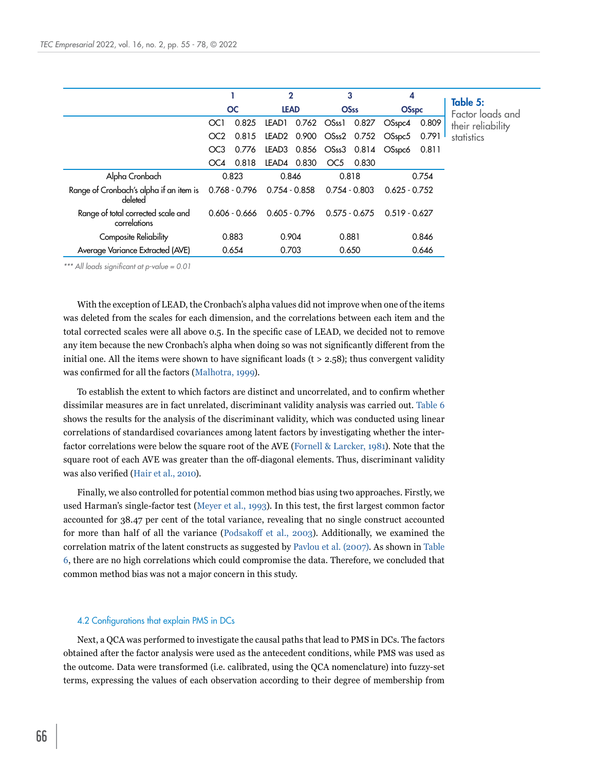<span id="page-11-0"></span>

|                                                    |                 |           | $\mathbf 2$                     |                   | 3               | 4                                    |       |                              |
|----------------------------------------------------|-----------------|-----------|---------------------------------|-------------------|-----------------|--------------------------------------|-------|------------------------------|
|                                                    |                 | <b>OC</b> | <b>LEAD</b>                     |                   | <b>OSss</b>     | <b>OSspc</b>                         |       | Table 5:<br>Factor loads and |
|                                                    | OC <sub>1</sub> | 0.825     | LEAD1                           | 0.762 OSss1 0.827 |                 | OSspc4                               | 0.809 | their reliability            |
|                                                    | OC <sub>2</sub> | 0.815     |                                 |                   |                 | LEAD2 0.900 OSss2 0.752 OSspc5 0.791 |       | statistics                   |
|                                                    | OC <sub>3</sub> | 0.776     |                                 |                   |                 | LEAD3 0.856 OSss3 0.814 OSspc6       | 0.811 |                              |
|                                                    | OC4             | 0.818     | LEAD4 0.830                     |                   | OC5 0.830       |                                      |       |                              |
| Alpha Cronbach                                     |                 | 0.823     | 0.846                           | 0.818             |                 |                                      | 0.754 |                              |
| Range of Cronbach's alpha if an item is<br>deleted |                 |           | 0.768 - 0.796  0.754 - 0.858    | 0.754 - 0.803     |                 | $0.625 - 0.752$                      |       |                              |
| Range of total corrected scale and<br>correlations |                 |           | $0.606 - 0.666$ $0.605 - 0.796$ |                   | $0.575 - 0.675$ | $0.519 - 0.627$                      |       |                              |
| Composite Reliability                              |                 | 0.883     | 0.904                           | 0.881             |                 |                                      | 0.846 |                              |
| Average Variance Extracted (AVE)                   |                 | 0.654     | 0.703                           |                   | 0.650           |                                      | 0.646 |                              |

*\*\*\* All loads significant at p-value = 0.01*

With the exception of LEAD, the Cronbach's alpha values did not improve when one of the items was deleted from the scales for each dimension, and the correlations between each item and the total corrected scales were all above 0.5. In the specific case of LEAD, we decided not to remove any item because the new Cronbach's alpha when doing so was not significantly different from the initial one. All the items were shown to have significant loads  $(t > 2.58)$ ; thus convergent validity was confirmed for all the factors ([Malhotra, 1999](#page-21-19)).

To establish the extent to which factors are distinct and uncorrelated, and to confirm whether dissimilar measures are in fact unrelated, discriminant validity analysis was carried out. [Table 6](#page-12-0)  shows the results for the analysis of the discriminant validity, which was conducted using linear correlations of standardised covariances among latent factors by investigating whether the interfactor correlations were below the square root of the AVE [\(Fornell & Larcker, 1981](#page-20-15)). Note that the square root of each AVE was greater than the off-diagonal elements. Thus, discriminant validity was also verified ([Hair et al., 2010](#page-20-16)).

Finally, we also controlled for potential common method bias using two approaches. Firstly, we used Harman's single-factor test ([Meyer et al., 1993\)](#page-21-20). In this test, the first largest common factor accounted for 38.47 per cent of the total variance, revealing that no single construct accounted for more than half of all the variance ([Podsakoff et al., 2003](#page-22-19)). Additionally, we examined the correlation matrix of the latent constructs as suggested by [Pavlou et al. \(2007\)](#page-22-20). As shown in Table [6](#page-12-0), there are no high correlations which could compromise the data. Therefore, we concluded that common method bias was not a major concern in this study.

#### 4.2 Configurations that explain PMS in DCs

Next, a QCA was performed to investigate the causal paths that lead to PMS in DCs. The factors obtained after the factor analysis were used as the antecedent conditions, while PMS was used as the outcome. Data were transformed (i.e. calibrated, using the QCA nomenclature) into fuzzy-set terms, expressing the values of each observation according to their degree of membership from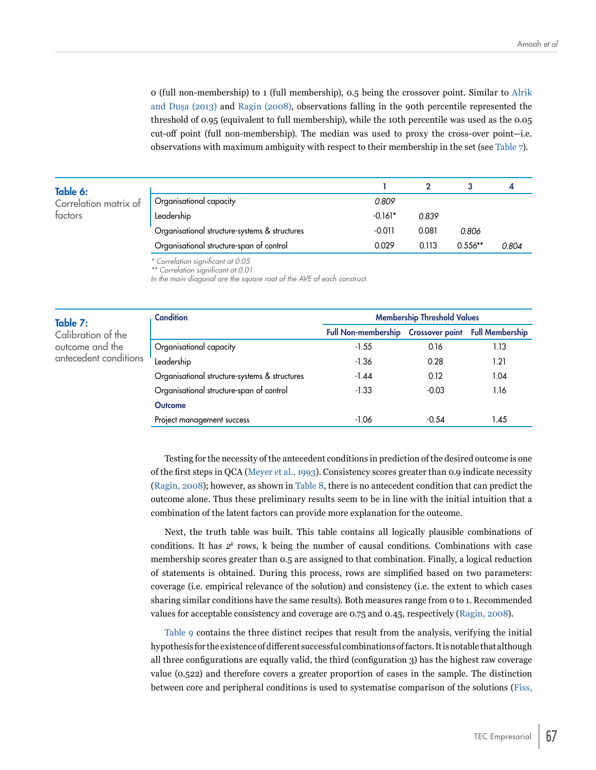0 (full non-membership) to 1 (full membership), 0.5 being the crossover point. Similar to Alrik and Dușa (2013) and [Ragin \(2008\)](#page-22-17), observations falling in the 90th percentile represented the threshold of 0.95 (equivalent to full membership), while the 10th percentile was used as the 0.05 cut-off point (full non-membership). The median was used to proxy the cross-over point—i.e. observations with maximum ambiguity with respect to their membership in the set (see [Table 7](#page-12-1)).

<span id="page-12-0"></span>

| Table 6:              |                                               |           |       |           |       |  |
|-----------------------|-----------------------------------------------|-----------|-------|-----------|-------|--|
| Correlation matrix of | Organisational capacity                       | 0.809     |       |           |       |  |
| factors               | Leadership                                    | $-0.161*$ | 0.839 |           |       |  |
|                       | Organisational structure-systems & structures | $-0.011$  | 0.081 | 0.806     |       |  |
|                       | Organisational structure-span of control      | 0.029     | 0.113 | $0.556**$ | 0.804 |  |

*\* Correlation significant at 0.05*

*\*\* Correlation significant at 0.01*

*In the main diagonal are the square root of the AVE of each construct.*

#### <span id="page-12-1"></span>Table 7:

Calibration of the outcome and the antecedent conditions

| <b>Condition</b>                              | <b>Membership Threshold Values</b>                  |         |      |  |  |  |
|-----------------------------------------------|-----------------------------------------------------|---------|------|--|--|--|
|                                               | Full Non-membership Crossover point Full Membership |         |      |  |  |  |
| Organisational capacity                       | $-1.55$                                             | 0.16    | 1.13 |  |  |  |
| Leadership                                    | $-1.36$                                             | 0.28    | 1.21 |  |  |  |
| Organisational structure-systems & structures | $-1.44$                                             | 0.12    | 1.04 |  |  |  |
| Organisational structure-span of control      | $-1.33$                                             | $-0.03$ | 1.16 |  |  |  |
| <b>Outcome</b>                                |                                                     |         |      |  |  |  |
| Project management success                    | $-1.06$                                             | $-0.54$ | 1.45 |  |  |  |

Testing for the necessity of the antecedent conditions in prediction of the desired outcome is one of the first steps in QCA ([Meyer et al., 1993](#page-21-20)). Consistency scores greater than 0.9 indicate necessity [\(Ragin, 2008](#page-22-17)); however, as shown in [Table 8,](#page-13-0) there is no antecedent condition that can predict the outcome alone. Thus these preliminary results seem to be in line with the initial intuition that a combination of the latent factors can provide more explanation for the outcome.

Next, the truth table was built. This table contains all logically plausible combinations of conditions. It has  $2^k$  rows, k being the number of causal conditions. Combinations with case membership scores greater than 0.5 are assigned to that combination. Finally, a logical reduction of statements is obtained. During this process, rows are simplified based on two parameters: coverage (i.e. empirical relevance of the solution) and consistency (i.e. the extent to which cases sharing similar conditions have the same results). Both measures range from 0 to 1. Recommended values for acceptable consistency and coverage are 0.75 and 0.45, respectively ([Ragin, 2008\)](#page-22-17).

[Table 9](#page-13-1) contains the three distinct recipes that result from the analysis, verifying the initial hypothesis for the existence of different successful combinations of factors. It is notable that although all three configurations are equally valid, the third (configuration 3) has the highest raw coverage value (0.522) and therefore covers a greater proportion of cases in the sample. The distinction between core and peripheral conditions is used to systematise comparison of the solutions ([Fiss,](#page-20-17)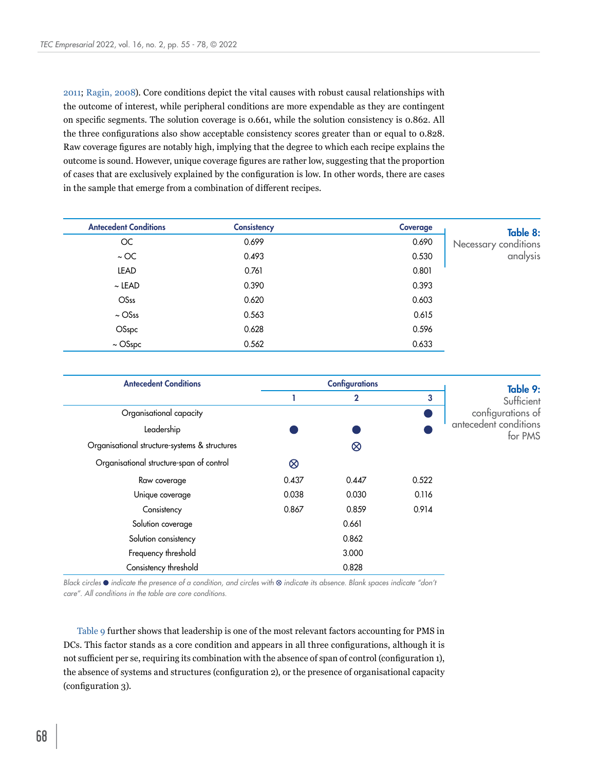[2011](#page-20-17); [Ragin, 2008](#page-22-17)). Core conditions depict the vital causes with robust causal relationships with the outcome of interest, while peripheral conditions are more expendable as they are contingent on specific segments. The solution coverage is 0.661, while the solution consistency is 0.862. All the three configurations also show acceptable consistency scores greater than or equal to 0.828. Raw coverage figures are notably high, implying that the degree to which each recipe explains the outcome is sound. However, unique coverage figures are rather low, suggesting that the proportion of cases that are exclusively explained by the configuration is low. In other words, there are cases in the sample that emerge from a combination of different recipes.

<span id="page-13-0"></span>

| <b>Antecedent Conditions</b> | Consistency | Coverage | Table 8:             |
|------------------------------|-------------|----------|----------------------|
| OC                           | 0.699       | 0.690    | Necessary conditions |
| $\sim$ OC                    | 0.493       | 0.530    | analysis             |
| LEAD                         | 0.761       | 0.801    |                      |
| $\sim$ LEAD                  | 0.390       | 0.393    |                      |
| <b>OSss</b>                  | 0.620       | 0.603    |                      |
| $\sim$ OSss                  | 0.563       | 0.615    |                      |
| OSspc                        | 0.628       | 0.596    |                      |
| $\sim$ OSspc                 | 0.562       | 0.633    |                      |

<span id="page-13-1"></span>

| <b>Antecedent Conditions</b>                  |           | <b>Configurations</b> |       | Table 9:                         |
|-----------------------------------------------|-----------|-----------------------|-------|----------------------------------|
|                                               |           | $\mathbf{2}$          | 3     | Sufficient                       |
| Organisational capacity                       |           |                       |       | configurations of                |
| Leadership                                    |           |                       |       | antecedent conditions<br>for PMS |
| Organisational structure-systems & structures |           | $\otimes$             |       |                                  |
| Organisational structure-span of control      | $\otimes$ |                       |       |                                  |
| Raw coverage                                  | 0.437     | 0.447                 | 0.522 |                                  |
| Unique coverage                               | 0.038     | 0.030                 | 0.116 |                                  |
| Consistency                                   | 0.867     | 0.859                 | 0.914 |                                  |
| Solution coverage                             |           | 0.661                 |       |                                  |
| Solution consistency                          |           | 0.862                 |       |                                  |
| Frequency threshold                           |           | 3.000                 |       |                                  |
| Consistency threshold                         |           | 0.828                 |       |                                  |

*Black circles*  $\bullet$  *indicate the presence of a condition, and circles with*  $\otimes$  *indicate its absence. Blank spaces indicate "don't care". All conditions in the table are core conditions.*

[Table 9](#page-13-1) further shows that leadership is one of the most relevant factors accounting for PMS in DCs. This factor stands as a core condition and appears in all three configurations, although it is not sufficient per se, requiring its combination with the absence of span of control (configuration 1), the absence of systems and structures (configuration 2), or the presence of organisational capacity (configuration 3).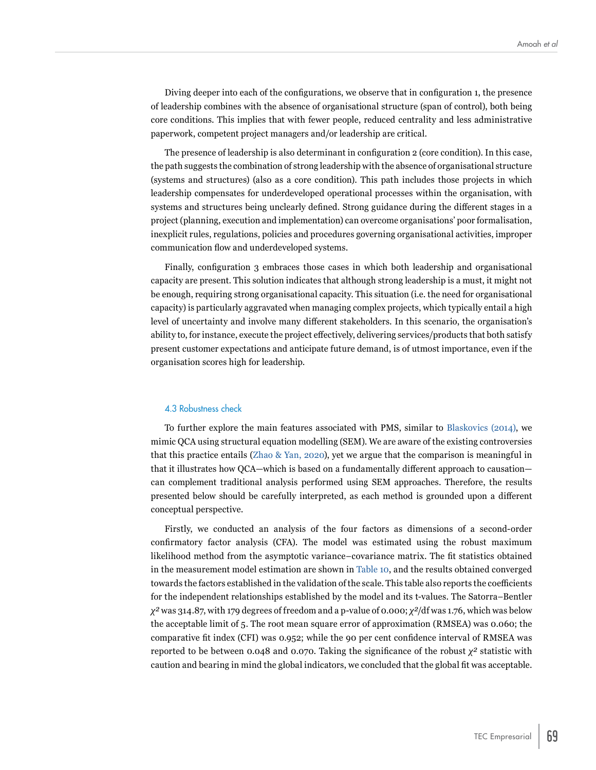Diving deeper into each of the configurations, we observe that in configuration 1, the presence of leadership combines with the absence of organisational structure (span of control), both being core conditions. This implies that with fewer people, reduced centrality and less administrative paperwork, competent project managers and/or leadership are critical.

The presence of leadership is also determinant in configuration 2 (core condition). In this case, the path suggests the combination of strong leadership with the absence of organisational structure (systems and structures) (also as a core condition). This path includes those projects in which leadership compensates for underdeveloped operational processes within the organisation, with systems and structures being unclearly defined. Strong guidance during the different stages in a project (planning, execution and implementation) can overcome organisations' poor formalisation, inexplicit rules, regulations, policies and procedures governing organisational activities, improper communication flow and underdeveloped systems.

Finally, configuration 3 embraces those cases in which both leadership and organisational capacity are present. This solution indicates that although strong leadership is a must, it might not be enough, requiring strong organisational capacity. This situation (i.e. the need for organisational capacity) is particularly aggravated when managing complex projects, which typically entail a high level of uncertainty and involve many different stakeholders. In this scenario, the organisation's ability to, for instance, execute the project effectively, delivering services/products that both satisfy present customer expectations and anticipate future demand, is of utmost importance, even if the organisation scores high for leadership.

#### 4.3 Robustness check

To further explore the main features associated with PMS, similar to [Blaskovics \(2014\)](#page-19-4), we mimic QCA using structural equation modelling (SEM). We are aware of the existing controversies that this practice entails ([Zhao & Yan, 2020\)](#page-23-8), yet we argue that the comparison is meaningful in that it illustrates how QCA—which is based on a fundamentally different approach to causation can complement traditional analysis performed using SEM approaches. Therefore, the results presented below should be carefully interpreted, as each method is grounded upon a different conceptual perspective.

Firstly, we conducted an analysis of the four factors as dimensions of a second-order confirmatory factor analysis (CFA). The model was estimated using the robust maximum likelihood method from the asymptotic variance–covariance matrix. The fit statistics obtained in the measurement model estimation are shown in [Table 10,](#page-15-0) and the results obtained converged towards the factors established in the validation of the scale. This table also reports the coefficients for the independent relationships established by the model and its t-values. The Satorra–Bentler *χ²* was 314.87, with 179 degrees of freedom and a p-value of 0.000; *χ²*/df was 1.76, which was below the acceptable limit of 5. The root mean square error of approximation (RMSEA) was 0.060; the comparative fit index (CFI) was 0.952; while the 90 per cent confidence interval of RMSEA was reported to be between 0.048 and 0.070. Taking the significance of the robust *χ²* statistic with caution and bearing in mind the global indicators, we concluded that the global fit was acceptable.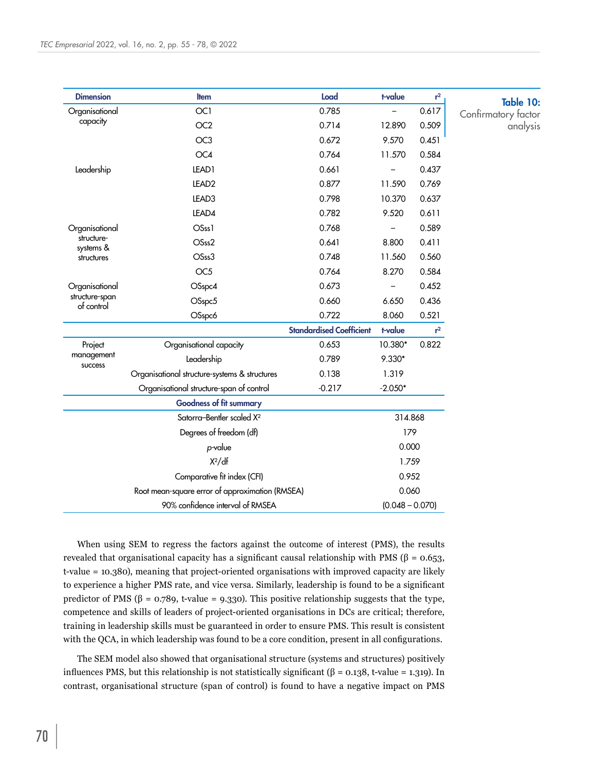<span id="page-15-0"></span>

|                              |                                                 | Load                            | t-value           | $r^2$ | Table 10:           |
|------------------------------|-------------------------------------------------|---------------------------------|-------------------|-------|---------------------|
| Organisational               | OC1                                             | 0.785                           |                   | 0.617 | Confirmatory factor |
| capacity                     | OC <sub>2</sub>                                 | 0.714                           | 12.890            | 0.509 | analysis            |
|                              | OC <sub>3</sub>                                 | 0.672                           | 9.570             | 0.451 |                     |
|                              | OC4                                             | 0.764                           | 11.570            | 0.584 |                     |
| Leadership                   | LEAD1                                           | 0.661                           |                   | 0.437 |                     |
|                              | LEAD <sub>2</sub>                               | 0.877                           | 11.590            | 0.769 |                     |
|                              | LEAD3                                           | 0.798                           | 10.370            | 0.637 |                     |
|                              | LEAD4                                           | 0.782                           | 9.520             | 0.611 |                     |
| Organisational               | OSss1                                           | 0.768                           |                   | 0.589 |                     |
| structure-<br>systems &      | OSss2                                           | 0.641                           | 8.800             | 0.411 |                     |
| structures                   | OSss3                                           | 0.748                           | 11.560            | 0.560 |                     |
|                              | OC <sub>5</sub>                                 | 0.764                           | 8.270             | 0.584 |                     |
| Organisational               | OSspc4                                          | 0.673                           |                   | 0.452 |                     |
| structure-span<br>of control | OSspc5                                          | 0.660                           | 6.650             | 0.436 |                     |
|                              | OSspc6                                          | 0.722                           | 8.060             | 0.521 |                     |
|                              |                                                 | <b>Standardised Coefficient</b> | t-value           | $r^2$ |                     |
| Project                      | Organisational capacity                         | 0.653                           | 10.380*           | 0.822 |                     |
| management<br>success        | Leadership                                      | 0.789                           | 9.330*            |       |                     |
|                              | Organisational structure-systems & structures   | 0.138                           | 1.319             |       |                     |
|                              | Organisational structure-span of control        | $-0.217$                        | $-2.050*$         |       |                     |
|                              | <b>Goodness of fit summary</b>                  |                                 |                   |       |                     |
|                              | Satorra-Bentler scaled X <sup>2</sup>           |                                 | 314.868           |       |                     |
|                              | Degrees of freedom (df)                         |                                 | 179               |       |                     |
|                              | p-value                                         |                                 | 0.000             |       |                     |
|                              | $X^2/df$                                        |                                 | 1.759             |       |                     |
|                              | Comparative fit index (CFI)                     |                                 | 0.952             |       |                     |
|                              | Root mean-square error of approximation (RMSEA) |                                 | 0.060             |       |                     |
|                              | 90% confidence interval of RMSEA                |                                 | $(0.048 - 0.070)$ |       |                     |

When using SEM to regress the factors against the outcome of interest (PMS), the results revealed that organisational capacity has a significant causal relationship with PMS (β = 0.653, t-value = 10.380), meaning that project-oriented organisations with improved capacity are likely to experience a higher PMS rate, and vice versa. Similarly, leadership is found to be a significant predictor of PMS (β = 0.789, t-value = 9.330). This positive relationship suggests that the type, competence and skills of leaders of project-oriented organisations in DCs are critical; therefore, training in leadership skills must be guaranteed in order to ensure PMS. This result is consistent with the QCA, in which leadership was found to be a core condition, present in all configurations.

The SEM model also showed that organisational structure (systems and structures) positively influences PMS, but this relationship is not statistically significant (β = 0.138, t-value = 1.319). In contrast, organisational structure (span of control) is found to have a negative impact on PMS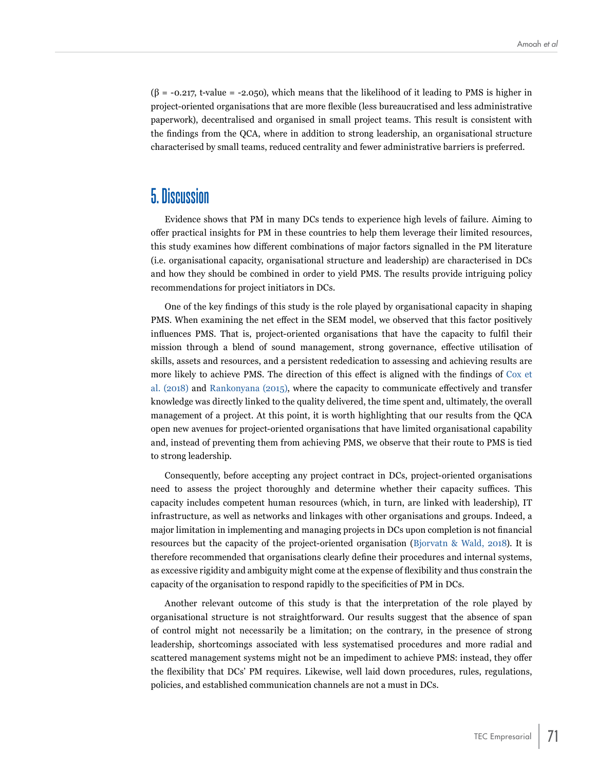$(\beta = -0.217, t-value = -2.050)$ , which means that the likelihood of it leading to PMS is higher in project-oriented organisations that are more flexible (less bureaucratised and less administrative paperwork), decentralised and organised in small project teams. This result is consistent with the findings from the QCA, where in addition to strong leadership, an organisational structure characterised by small teams, reduced centrality and fewer administrative barriers is preferred.

## **5. Discussion**

Evidence shows that PM in many DCs tends to experience high levels of failure. Aiming to offer practical insights for PM in these countries to help them leverage their limited resources, this study examines how different combinations of major factors signalled in the PM literature (i.e. organisational capacity, organisational structure and leadership) are characterised in DCs and how they should be combined in order to yield PMS. The results provide intriguing policy recommendations for project initiators in DCs.

One of the key findings of this study is the role played by organisational capacity in shaping PMS. When examining the net effect in the SEM model, we observed that this factor positively influences PMS. That is, project-oriented organisations that have the capacity to fulfil their mission through a blend of sound management, strong governance, effective utilisation of skills, assets and resources, and a persistent rededication to assessing and achieving results are more likely to achieve PMS. The direction of this effect is aligned with the findings of [Cox et](#page-20-6)  [al. \(2018\)](#page-20-6) and [Rankonyana \(2015\)](#page-22-5), where the capacity to communicate effectively and transfer knowledge was directly linked to the quality delivered, the time spent and, ultimately, the overall management of a project. At this point, it is worth highlighting that our results from the QCA open new avenues for project-oriented organisations that have limited organisational capability and, instead of preventing them from achieving PMS, we observe that their route to PMS is tied to strong leadership.

Consequently, before accepting any project contract in DCs, project-oriented organisations need to assess the project thoroughly and determine whether their capacity suffices. This capacity includes competent human resources (which, in turn, are linked with leadership), IT infrastructure, as well as networks and linkages with other organisations and groups. Indeed, a major limitation in implementing and managing projects in DCs upon completion is not financial resources but the capacity of the project-oriented organisation ([Bjorvatn & Wald, 2018](#page-19-7)). It is therefore recommended that organisations clearly define their procedures and internal systems, as excessive rigidity and ambiguity might come at the expense of flexibility and thus constrain the capacity of the organisation to respond rapidly to the specificities of PM in DCs.

Another relevant outcome of this study is that the interpretation of the role played by organisational structure is not straightforward. Our results suggest that the absence of span of control might not necessarily be a limitation; on the contrary, in the presence of strong leadership, shortcomings associated with less systematised procedures and more radial and scattered management systems might not be an impediment to achieve PMS: instead, they offer the flexibility that DCs' PM requires. Likewise, well laid down procedures, rules, regulations, policies, and established communication channels are not a must in DCs.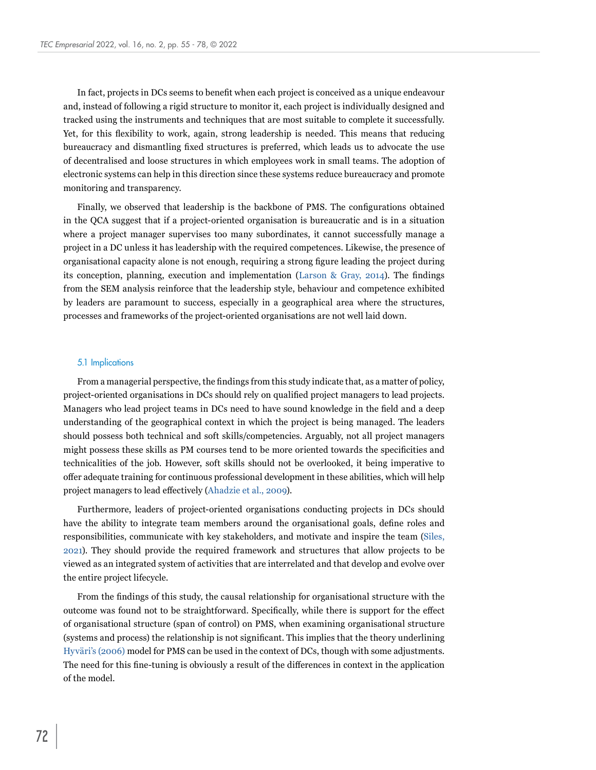In fact, projects in DCs seems to benefit when each project is conceived as a unique endeavour and, instead of following a rigid structure to monitor it, each project is individually designed and tracked using the instruments and techniques that are most suitable to complete it successfully. Yet, for this flexibility to work, again, strong leadership is needed. This means that reducing bureaucracy and dismantling fixed structures is preferred, which leads us to advocate the use of decentralised and loose structures in which employees work in small teams. The adoption of electronic systems can help in this direction since these systems reduce bureaucracy and promote monitoring and transparency.

Finally, we observed that leadership is the backbone of PMS. The configurations obtained in the QCA suggest that if a project-oriented organisation is bureaucratic and is in a situation where a project manager supervises too many subordinates, it cannot successfully manage a project in a DC unless it has leadership with the required competences. Likewise, the presence of organisational capacity alone is not enough, requiring a strong figure leading the project during its conception, planning, execution and implementation ([Larson & Gray, 2014\)](#page-21-13). The findings from the SEM analysis reinforce that the leadership style, behaviour and competence exhibited by leaders are paramount to success, especially in a geographical area where the structures, processes and frameworks of the project-oriented organisations are not well laid down.

#### 5.1 Implications

From a managerial perspective, the findings from this study indicate that, as a matter of policy, project-oriented organisations in DCs should rely on qualified project managers to lead projects. Managers who lead project teams in DCs need to have sound knowledge in the field and a deep understanding of the geographical context in which the project is being managed. The leaders should possess both technical and soft skills/competencies. Arguably, not all project managers might possess these skills as PM courses tend to be more oriented towards the specificities and technicalities of the job. However, soft skills should not be overlooked, it being imperative to offer adequate training for continuous professional development in these abilities, which will help project managers to lead effectively ([Ahadzie et al., 2009](#page-19-10)).

Furthermore, leaders of project-oriented organisations conducting projects in DCs should have the ability to integrate team members around the organisational goals, define roles and responsibilities, communicate with key stakeholders, and motivate and inspire the team ([Siles,](#page-22-1)  [2021](#page-22-1)). They should provide the required framework and structures that allow projects to be viewed as an integrated system of activities that are interrelated and that develop and evolve over the entire project lifecycle.

From the findings of this study, the causal relationship for organisational structure with the outcome was found not to be straightforward. Specifically, while there is support for the effect of organisational structure (span of control) on PMS, when examining organisational structure (systems and process) the relationship is not significant. This implies that the theory underlining Hyväri's (2006) model for PMS can be used in the context of DCs, though with some adjustments. The need for this fine-tuning is obviously a result of the differences in context in the application of the model.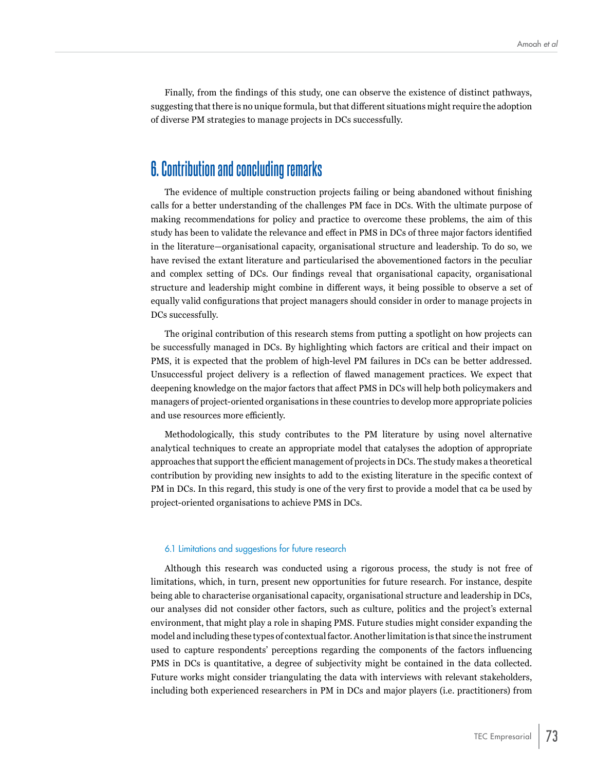Finally, from the findings of this study, one can observe the existence of distinct pathways, suggesting that there is no unique formula, but that different situations might require the adoption of diverse PM strategies to manage projects in DCs successfully.

### **6. Contribution and concluding remarks**

The evidence of multiple construction projects failing or being abandoned without finishing calls for a better understanding of the challenges PM face in DCs. With the ultimate purpose of making recommendations for policy and practice to overcome these problems, the aim of this study has been to validate the relevance and effect in PMS in DCs of three major factors identified in the literature—organisational capacity, organisational structure and leadership. To do so, we have revised the extant literature and particularised the abovementioned factors in the peculiar and complex setting of DCs. Our findings reveal that organisational capacity, organisational structure and leadership might combine in different ways, it being possible to observe a set of equally valid configurations that project managers should consider in order to manage projects in DCs successfully.

The original contribution of this research stems from putting a spotlight on how projects can be successfully managed in DCs. By highlighting which factors are critical and their impact on PMS, it is expected that the problem of high-level PM failures in DCs can be better addressed. Unsuccessful project delivery is a reflection of flawed management practices. We expect that deepening knowledge on the major factors that affect PMS in DCs will help both policymakers and managers of project-oriented organisations in these countries to develop more appropriate policies and use resources more efficiently.

Methodologically, this study contributes to the PM literature by using novel alternative analytical techniques to create an appropriate model that catalyses the adoption of appropriate approaches that support the efficient management of projects in DCs. The study makes a theoretical contribution by providing new insights to add to the existing literature in the specific context of PM in DCs. In this regard, this study is one of the very first to provide a model that ca be used by project-oriented organisations to achieve PMS in DCs.

#### 6.1 Limitations and suggestions for future research

Although this research was conducted using a rigorous process, the study is not free of limitations, which, in turn, present new opportunities for future research. For instance, despite being able to characterise organisational capacity, organisational structure and leadership in DCs, our analyses did not consider other factors, such as culture, politics and the project's external environment, that might play a role in shaping PMS. Future studies might consider expanding the model and including these types of contextual factor. Another limitation is that since the instrument used to capture respondents' perceptions regarding the components of the factors influencing PMS in DCs is quantitative, a degree of subjectivity might be contained in the data collected. Future works might consider triangulating the data with interviews with relevant stakeholders, including both experienced researchers in PM in DCs and major players (i.e. practitioners) from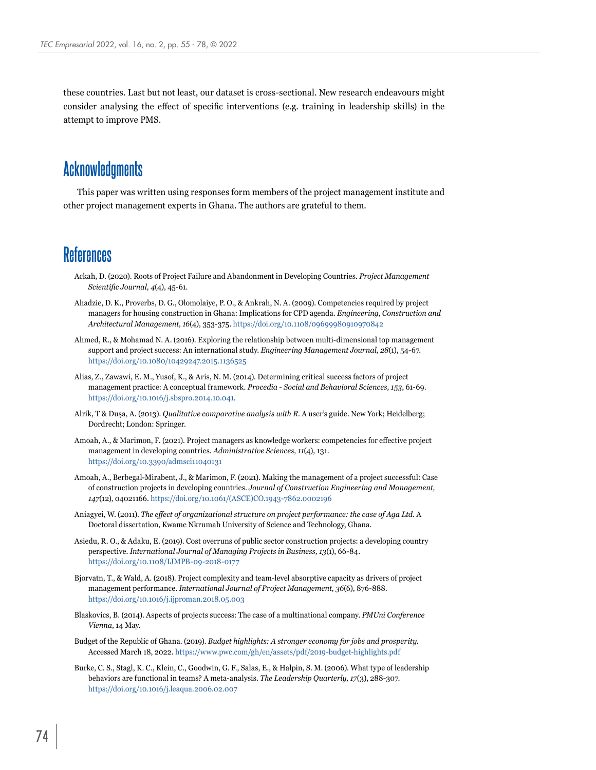these countries. Last but not least, our dataset is cross-sectional. New research endeavours might consider analysing the effect of specific interventions (e.g. training in leadership skills) in the attempt to improve PMS.

# **Acknowledgments**

This paper was written using responses form members of the project management institute and other project management experts in Ghana. The authors are grateful to them.

### **References**

- <span id="page-19-5"></span>Ackah, D. (2020). Roots of Project Failure and Abandonment in Developing Countries. *Project Management Scientific Journal, 4*(4), 45-61.
- <span id="page-19-10"></span>Ahadzie, D. K., Proverbs, D. G., Olomolaiye, P. O., & Ankrah, N. A. (2009). Competencies required by project managers for housing construction in Ghana: Implications for CPD agenda. *Engineering, Construction and Architectural Management, 16*(4), 353-375. <https://doi.org/10.1108/09699980910970842>
- <span id="page-19-6"></span>Ahmed, R., & Mohamad N. A. (2016). Exploring the relationship between multi-dimensional top management support and project success: An international study. *Engineering Management Journal, 28*(1), 54-67. <https://doi.org/10.1080/10429247.2015.1136525>
- <span id="page-19-0"></span>Alias, Z., Zawawi, E. M., Yusof, K., & Aris, N. M. (2014). Determining critical success factors of project management practice: A conceptual framework. *Procedia - Social and Behavioral Sciences, 153*, 61-69. <https://doi.org/10.1016/j.sbspro.2014.10.041>.
- Alrik, T & Dușa, A. (2013). *Qualitative comparative analysis with R*. A user's guide. New York; Heidelberg; Dordrecht; London: Springer.
- <span id="page-19-2"></span>Amoah, A., & Marimon, F. (2021). Project managers as knowledge workers: competencies for effective project management in developing countries. *Administrative Sciences, 11*(4), 131. <https://doi.org/10.3390/admsci11040131>
- Amoah, A., Berbegal-Mirabent, J., & Marimon, F. (2021). Making the management of a project successful: Case of construction projects in developing countries. *Journal of Construction Engineering and Management, 147*(12), 04021166. [https://doi.org/10.1061/\(ASCE\)CO.1943-7862.0002196](https://doi.org/10.1061/(ASCE)CO.1943-7862.0002196)
- <span id="page-19-3"></span>Aniagyei, W. (2011). *The effect of organizational structure on project performance: the case of Aga Ltd*. A Doctoral dissertation, Kwame Nkrumah University of Science and Technology, Ghana.
- <span id="page-19-1"></span>Asiedu, R. O., & Adaku, E. (2019). Cost overruns of public sector construction projects: a developing country perspective. *International Journal of Managing Projects in Business, 13*(1), 66-84. <https://doi.org/10.1108/IJMPB-09-2018-0177>
- <span id="page-19-7"></span>Bjorvatn, T., & Wald, A. (2018). Project complexity and team-level absorptive capacity as drivers of project management performance. *International Journal of Project Management, 36*(6), 876-888. <https://doi.org/10.1016/j.ijproman.2018.05.003>
- <span id="page-19-4"></span>Blaskovics, B. (2014). Aspects of projects success: The case of a multinational company. *PMUni Conference Vienna*, 14 May.
- <span id="page-19-9"></span>Budget of the Republic of Ghana. (2019). *Budget highlights: A stronger economy for jobs and prosperity*. Accessed March 18, 2022. <https://www.pwc.com/gh/en/assets/pdf/2019-budget-highlights.pdf>
- <span id="page-19-8"></span>Burke, C. S., Stagl, K. C., Klein, C., Goodwin, G. F., Salas, E., & Halpin, S. M. (2006). What type of leadership behaviors are functional in teams? A meta-analysis. *The Leadership Quarterly, 17*(3), 288-307. <https://doi.org/10.1016/j.leaqua.2006.02.007>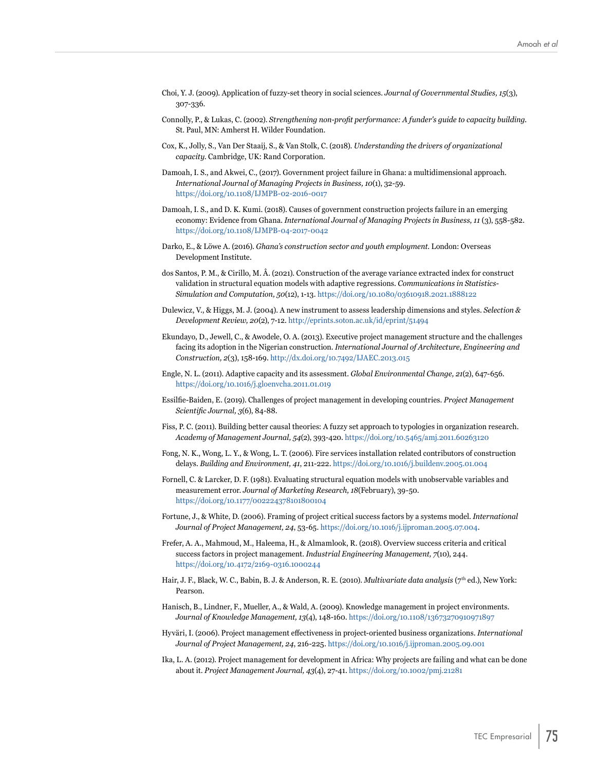- <span id="page-20-13"></span>Choi, Y. J. (2009). Application of fuzzy-set theory in social sciences. *Journal of Governmental Studies, 15*(3), 307-336.
- <span id="page-20-8"></span>Connolly, P., & Lukas, C. (2002). *Strengthening non-profit performance: A funder's guide to capacity building*. St. Paul, MN: Amherst H. Wilder Foundation.
- <span id="page-20-6"></span>Cox, K., Jolly, S., Van Der Staaij, S., & Van Stolk, C. (2018). *Understanding the drivers of organizational capacity*. Cambridge, UK: Rand Corporation.
- <span id="page-20-1"></span>Damoah, I. S., and Akwei, C., (2017). Government project failure in Ghana: a multidimensional approach. *International Journal of Managing Projects in Business, 10*(1), 32-59. <https://doi.org/10.1108/IJMPB-02-2016-0017>
- <span id="page-20-12"></span>Damoah, I. S., and D. K. Kumi. (2018). Causes of government construction projects failure in an emerging economy: Evidence from Ghana. *International Journal of Managing Projects in Business, 11* (3), 558-582. <https://doi.org/10.1108/IJMPB-04-2017-0042>
- Darko, E., & Löwe A. (2016). *Ghana's construction sector and youth employment*. London: Overseas Development Institute.
- <span id="page-20-14"></span>dos Santos, P. M., & Cirillo, M. Â. (2021). Construction of the average variance extracted index for construct validation in structural equation models with adaptive regressions. *Communications in Statistics-Simulation and Computation, 50*(12), 1-13. [https://doi.org/10.1080/03610918.2021.1888122](https://doi.org/10.1080/03610918.2021.1888122
)
- <span id="page-20-11"></span>Dulewicz, V., & Higgs, M. J. (2004). A new instrument to assess leadership dimensions and styles. *Selection & Development Review, 20*(2), 7-12.<http://eprints.soton.ac.uk/id/eprint/51494>
- <span id="page-20-10"></span>Ekundayo, D., Jewell, C., & Awodele, O. A. (2013). Executive project management structure and the challenges facing its adoption in the Nigerian construction. *International Journal of Architecture, Engineering and Construction, 2*(3), 158-169. <http://dx.doi.org/10.7492/IJAEC.2013.015>
- <span id="page-20-9"></span>Engle, N. L. (2011). Adaptive capacity and its assessment. *Global Environmental Change, 21*(2), 647-656. <https://doi.org/10.1016/j.gloenvcha.2011.01.019>
- <span id="page-20-0"></span>Essilfie-Baiden, E. (2019). Challenges of project management in developing countries. *Project Management Scientific Journal, 3*(6), 84-88.
- <span id="page-20-17"></span>Fiss, P. C. (2011). Building better causal theories: A fuzzy set approach to typologies in organization research. *Academy of Management Journal, 54*(2), 393-420. <https://doi.org/10.5465/amj.2011.60263120>
- <span id="page-20-3"></span>Fong, N. K., Wong, L. Y., & Wong, L. T. (2006). Fire services installation related contributors of construction delays. *Building and Environment, 41*, 211-222.<https://doi.org/10.1016/j.buildenv.2005.01.004>
- <span id="page-20-15"></span>Fornell, C. & Larcker, D. F. (1981). Evaluating structural equation models with unobservable variables and measurement error. *Journal of Marketing Research, 18*(February), 39-50. <https://doi.org/10.1177/002224378101800104>
- <span id="page-20-4"></span>Fortune, J., & White, D. (2006). Framing of project critical success factors by a systems model. *International Journal of Project Management, 24*, 53-65. [https://doi.org/10.1016/j.ijproman.2005.07.004.](https://doi.org/10.1016/j.ijproman.2005.07.004)
- <span id="page-20-5"></span>Frefer, A. A., Mahmoud, M., Haleema, H., & Almamlook, R. (2018). Overview success criteria and critical success factors in project management. *Industrial Engineering Management, 7*(10), 244. <https://doi.org/10.4172/2169-0316.1000244>
- <span id="page-20-16"></span>Hair, J. F., Black, W. C., Babin, B. J. & Anderson, R. E. (2010). *Multivariate data analysis* (7th ed.), New York: Pearson.
- <span id="page-20-7"></span>Hanisch, B., Lindner, F., Mueller, A., & Wald, A. (2009). Knowledge management in project environments. *Journal of Knowledge Management, 13*(4), 148-160. <https://doi.org/10.1108/13673270910971897>
- Hyväri, I. (2006). Project management effectiveness in project-oriented business organizations. *International Journal of Project Management, 24*, 216-225.<https://doi.org/10.1016/j.ijproman.2005.09.001>
- <span id="page-20-2"></span>Ika, L. A. (2012). Project management for development in Africa: Why projects are failing and what can be done about it. *Project Management Journal, 43*(4), 27-41. <https://doi.org/10.1002/pmj.21281>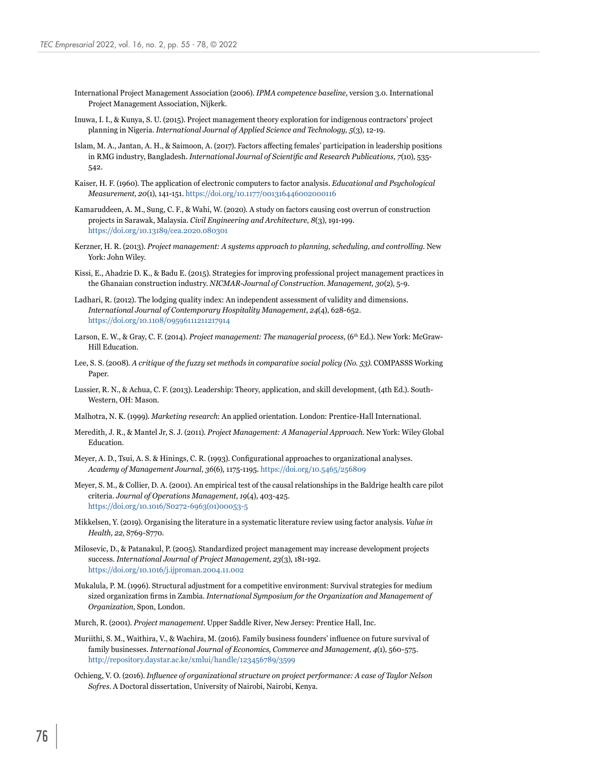- <span id="page-21-0"></span>International Project Management Association (2006). *IPMA competence baseline*, version 3.0. International Project Management Association, Nijkerk.
- <span id="page-21-7"></span>Inuwa, I. I., & Kunya, S. U. (2015). Project management theory exploration for indigenous contractors' project planning in Nigeria. *International Journal of Applied Science and Technology, 5*(3), 12-19.
- <span id="page-21-10"></span>Islam, M. A., Jantan, A. H., & Saimoon, A. (2017). Factors affecting females' participation in leadership positions in RMG industry, Bangladesh. *International Journal of Scientific and Research Publications, 7*(10), 535- 542.
- <span id="page-21-18"></span>Kaiser, H. F. (1960). The application of electronic computers to factor analysis. *Educational and Psychological Measurement, 20*(1), 141-151. <https://doi.org/10.1177/001316446002000116>
- <span id="page-21-1"></span>Kamaruddeen, A. M., Sung, C. F., & Wahi, W. (2020). A study on factors causing cost overrun of construction projects in Sarawak, Malaysia. *Civil Engineering and Architecture, 8*(3), 191-199. <https://doi.org/10.13189/cea.2020.080301>
- <span id="page-21-11"></span>Kerzner, H. R. (2013). *Project management: A systems approach to planning, scheduling, and controlling*. New York: John Wiley.
- <span id="page-21-14"></span>Kissi, E., Ahadzie D. K., & Badu E. (2015). Strategies for improving professional project management practices in the Ghanaian construction industry. *NICMAR-Journal of Construction. Management, 30*(2), 5-9.
- <span id="page-21-17"></span>Ladhari, R. (2012). The lodging quality index: An independent assessment of validity and dimensions. *International Journal of Contemporary Hospitality Management, 24*(4), 628-652. <https://doi.org/10.1108/09596111211217914>
- <span id="page-21-13"></span>Larson, E. W., & Gray, C. F. (2014). *Project management: The managerial process*, (6<sup>th</sup> Ed.). New York: McGraw-Hill Education.
- <span id="page-21-2"></span>Lee, S. S. (2008). *A critique of the fuzzy set methods in comparative social policy (No. 53)*. COMPASSS Working Paper.
- <span id="page-21-9"></span>Lussier, R. N., & Achua, C. F. (2013). Leadership: Theory, application, and skill development, (4th Ed.). South-Western, OH: Mason.
- <span id="page-21-19"></span>Malhotra, N. K. (1999). *Marketing research*: An applied orientation. London: Prentice-Hall International.
- <span id="page-21-12"></span>Meredith, J. R., & Mantel Jr, S. J. (2011). *Project Management: A Managerial Approach*. New York: Wiley Global Education.
- <span id="page-21-20"></span>Meyer, A. D., Tsui, A. S. & Hinings, C. R. (1993). Configurational approaches to organizational analyses. *Academy of Management Journal, 36*(6), 1175-1195. <https://doi.org/10.5465/256809>
- <span id="page-21-16"></span>Meyer, S. M., & Collier, D. A. (2001). An empirical test of the causal relationships in the Baldrige health care pilot criteria. *Journal of Operations Management, 19*(4), 403-425. [https://doi.org/10.1016/S0272-6963\(01\)00053-5](https://doi.org/10.1016/S0272-6963(01)00053-5)
- <span id="page-21-15"></span>Mikkelsen, Y. (2019). Organising the literature in a systematic literature review using factor analysis. *Value in Health, 22*, S769-S770.
- <span id="page-21-4"></span>Milosevic, D., & Patanakul, P. (2005). Standardized project management may increase development projects success. *International Journal of Project Management, 23*(3), 181-192. <https://doi.org/10.1016/j.ijproman.2004.11.002>
- <span id="page-21-8"></span>Mukalula, P. M. (1996). Structural adjustment for a competitive environment: Survival strategies for medium sized organization firms in Zambia. *International Symposium for the Organization and Management of Organization*, Spon, London.
- <span id="page-21-3"></span>Murch, R. (2001). *Project management*. Upper Saddle River, New Jersey: Prentice Hall, Inc.
- <span id="page-21-5"></span>Muriithi, S. M., Waithira, V., & Wachira, M. (2016). Family business founders' influence on future survival of family businesses. *International Journal of Economics, Commerce and Management, 4*(1), 560-575. <http://repository.daystar.ac.ke/xmlui/handle/123456789/3599>
- <span id="page-21-6"></span>Ochieng, V. O. (2016). *Influence of organizational structure on project performance: A case of Taylor Nelson Sofres*. A Doctoral dissertation, University of Nairobi, Nairobi, Kenya.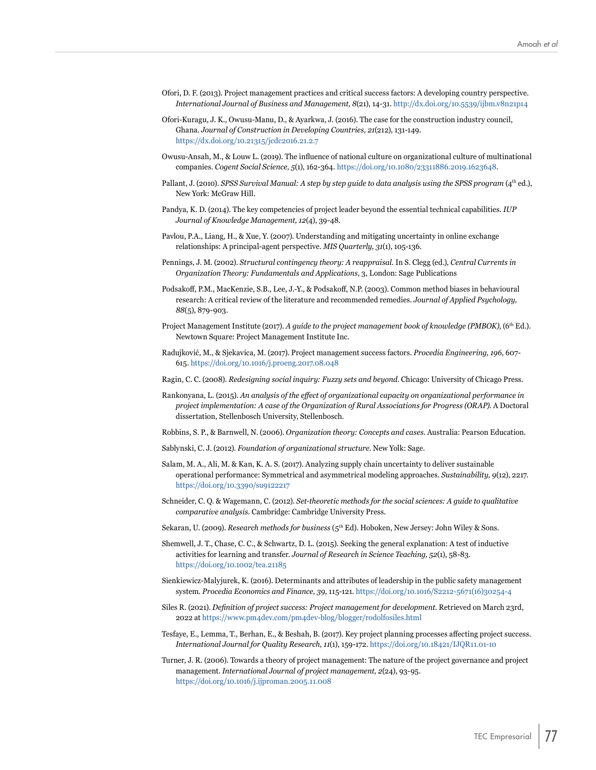- <span id="page-22-3"></span>Ofori, D. F. (2013). Project management practices and critical success factors: A developing country perspective. *International Journal of Business and Management, 8*(21), 14-31.<http://dx.doi.org/10.5539/ijbm.v8n21p14>
- <span id="page-22-4"></span>Ofori-Kuragu, J. K., Owusu-Manu, D., & Ayarkwa, J. (2016). The case for the construction industry council, Ghana. *Journal of Construction in Developing Countries, 21*(212), 131-149. <https://dx.doi.org/10.21315/jcdc2016.21.2.7>
- <span id="page-22-12"></span>Owusu-Ansah, M., & Louw L. (2019). The influence of national culture on organizational culture of multinational companies. *Cogent Social Science, 5*(1), 162-364.<https://doi.org/10.1080/23311886.2019.1623648>.
- <span id="page-22-14"></span>Pallant, J. (2010). *SPSS Survival Manual: A step by step guide to data analysis using the SPSS program* (4<sup>th</sup> ed.), New York: McGraw Hill.
- <span id="page-22-10"></span>Pandya, K. D. (2014). The key competencies of project leader beyond the essential technical capabilities. *IUP Journal of Knowledge Management, 12*(4), 39-48.
- <span id="page-22-20"></span>Pavlou, P.A., Liang, H., & Xue, Y. (2007). Understanding and mitigating uncertainty in online exchange relationships: A principal-agent perspective. *MIS Quarterly, 31*(1), 105-136.
- <span id="page-22-7"></span>Pennings, J. M. (2002). *Structural contingency theory: A reappraisal.* In S. Clegg (ed.)*, Central Currents in Organization Theory: Fundamentals and Applications*, 3, London: Sage Publications
- <span id="page-22-19"></span>Podsakoff, P.M., MacKenzie, S.B., Lee, J.-Y., & Podsakoff, N.P. (2003). Common method biases in behavioural research: A critical review of the literature and recommended remedies. *Journal of Applied Psychology, 88*(5), 879-903.
- <span id="page-22-0"></span>Project Management Institute (2017). A quide to the project management book of knowledge (PMBOK), (6<sup>th</sup> Ed.). Newtown Square: Project Management Institute Inc.
- Radujković, M., & Sjekavica, M. (2017). Project management success factors. *Procedia Engineering, 196*, 607- 615. [https://doi.org/10.1016/j.proeng.2017.08.048](https://doi.org/10.1016/j.proeng.2017.08.048
)
- <span id="page-22-17"></span>Ragin, C. C. (2008). *Redesigning social inquiry: Fuzzy sets and beyond*. Chicago: University of Chicago Press.
- <span id="page-22-5"></span>Rankonyana, L. (2015). *An analysis of the effect of organizational capacity on organizational performance in project implementation: A case of the Organization of Rural Associations for Progress (ORAP)*. A Doctoral dissertation, Stellenbosch University, Stellenbosch.
- <span id="page-22-8"></span>Robbins, S. P., & Barnwell, N. (2006). *Organization theory: Concepts and cases*. Australia: Pearson Education.
- <span id="page-22-6"></span>Sablynski, C. J. (2012). *Foundation of organizational structure*. New Yolk: Sage.
- <span id="page-22-16"></span>Salam, M. A., Ali, M. & Kan, K. A. S. (2017). Analyzing supply chain uncertainty to deliver sustainable operational performance: Symmetrical and asymmetrical modeling approaches. *Sustainability, 9*(12), 2217. <https://doi.org/10.3390/su9122217>
- <span id="page-22-15"></span>Schneider, C. Q. & Wagemann, C. (2012). *Set-theoretic methods for the social sciences: A guide to qualitative comparative analysis*. Cambridge: Cambridge University Press.
- <span id="page-22-13"></span>Sekaran, U. (2009). *Research methods for business* (5th Ed). Hoboken, New Jersey: John Wiley & Sons.
- <span id="page-22-18"></span>Shemwell, J. T., Chase, C. C., & Schwartz, D. L. (2015). Seeking the general explanation: A test of inductive activities for learning and transfer. *Journal of Research in Science Teaching, 52*(1), 58-83. <https://doi.org/10.1002/tea.21185>
- <span id="page-22-11"></span>Sienkiewicz-Malyjurek, K. (2016). Determinants and attributes of leadership in the public safety management system. *Procedia Economics and Finance, 39*, 115-121. [https://doi.org/10.1016/S2212-5671\(16\)30254-4](https://doi.org/10.1016/S2212-5671(16)30254-4)
- <span id="page-22-1"></span>Siles R. (2021). *Definition of project success: Project management for development*. Retrieved on March 23rd, 2022 at <https://www.pm4dev.com/pm4dev-blog/blogger/rodolfosiles.html>
- <span id="page-22-2"></span>Tesfaye, E., Lemma, T., Berhan, E., & Beshah, B. (2017). Key project planning processes affecting project success. *International Journal for Quality Research, 11*(1), 159-172. <https://doi.org/10.18421/IJQR11.01-10>
- <span id="page-22-9"></span>Turner, J. R. (2006). Towards a theory of project management: The nature of the project governance and project management. *International Journal of project management, 2*(24), 93-95. <https://doi.org/10.1016/j.ijproman.2005.11.008>